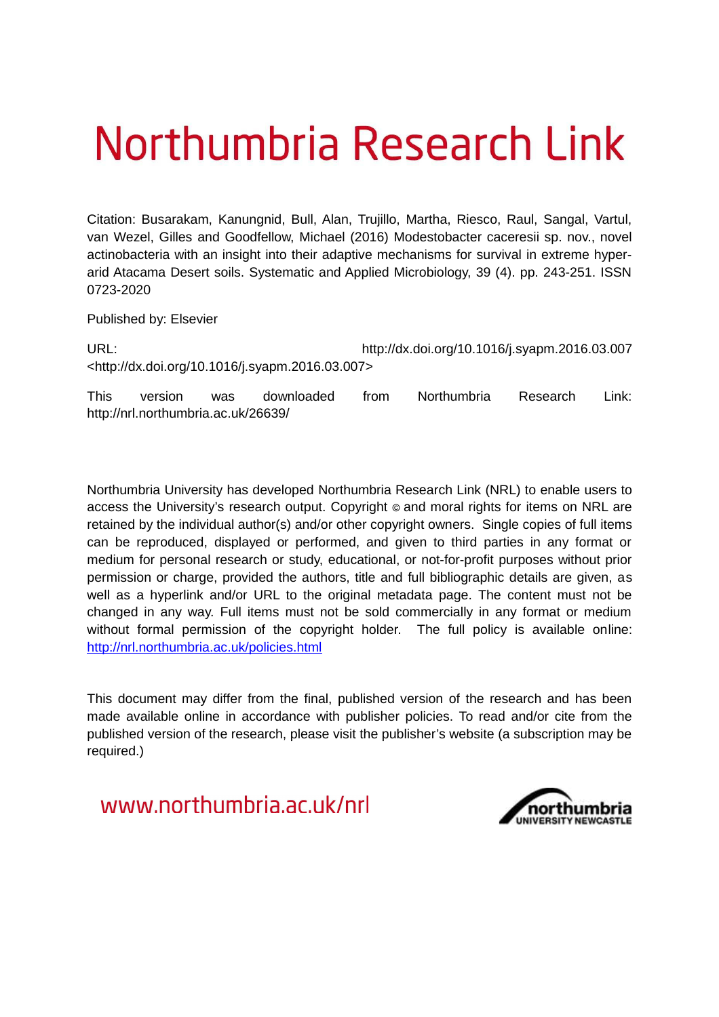# Northumbria Research Link

Citation: Busarakam, Kanungnid, Bull, Alan, Trujillo, Martha, Riesco, Raul, Sangal, Vartul, van Wezel, Gilles and Goodfellow, Michael (2016) Modestobacter caceresii sp. nov., novel actinobacteria with an insight into their adaptive mechanisms for survival in extreme hyperarid Atacama Desert soils. Systematic and Applied Microbiology, 39 (4). pp. 243-251. ISSN 0723-2020

Published by: Elsevier

URL: http://dx.doi.org/10.1016/j.syapm.2016.03.007 <http://dx.doi.org/10.1016/j.syapm.2016.03.007>

This version was downloaded from Northumbria Research Link: http://nrl.northumbria.ac.uk/26639/

Northumbria University has developed Northumbria Research Link (NRL) to enable users to access the University's research output. Copyright © and moral rights for items on NRL are retained by the individual author(s) and/or other copyright owners. Single copies of full items can be reproduced, displayed or performed, and given to third parties in any format or medium for personal research or study, educational, or not-for-profit purposes without prior permission or charge, provided the authors, title and full bibliographic details are given, as well as a hyperlink and/or URL to the original metadata page. The content must not be changed in any way. Full items must not be sold commercially in any format or medium without formal permission of the copyright holder. The full policy is available online: <http://nrl.northumbria.ac.uk/policies.html>

This document may differ from the final, published version of the research and has been made available online in accordance with publisher policies. To read and/or cite from the published version of the research, please visit the publisher's website (a subscription may be required.)

www.northumbria.ac.uk/nrl

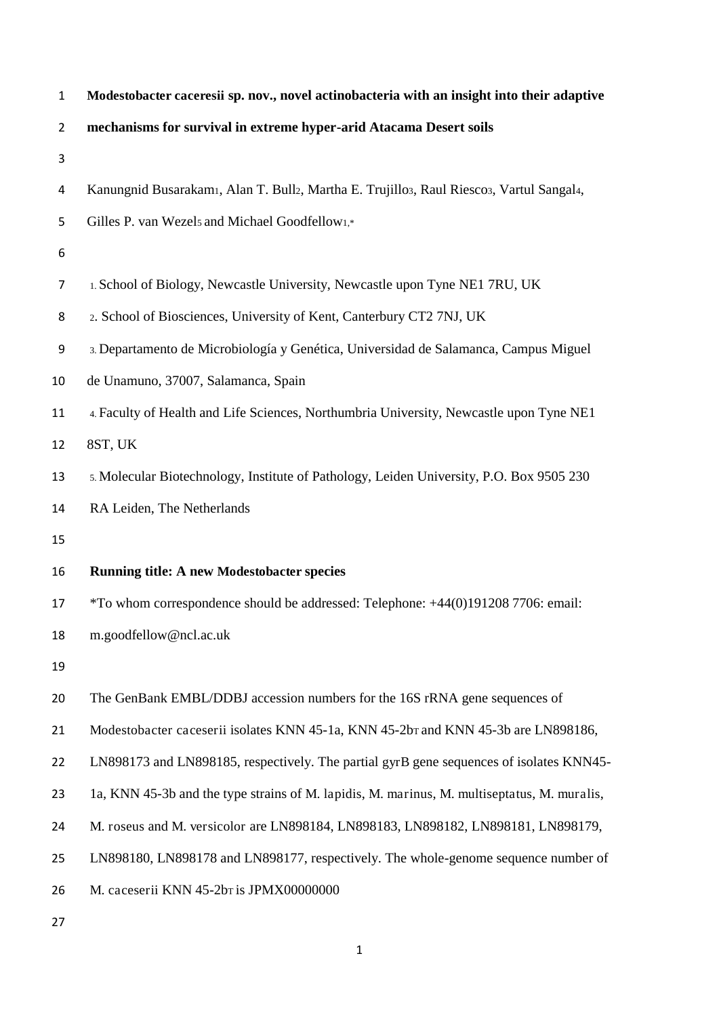| $\mathbf{1}$     | Modestobacter caceresii sp. nov., novel actinobacteria with an insight into their adaptive  |
|------------------|---------------------------------------------------------------------------------------------|
| $\overline{2}$   | mechanisms for survival in extreme hyper-arid Atacama Desert soils                          |
| 3                |                                                                                             |
| 4                | Kanungnid Busarakamı, Alan T. Bull2, Martha E. Trujillo3, Raul Riesco3, Vartul Sangal4,     |
| 5                | Gilles P. van Wezels and Michael Goodfellow1,*                                              |
| $\boldsymbol{6}$ |                                                                                             |
| $\overline{7}$   | 1. School of Biology, Newcastle University, Newcastle upon Tyne NE1 7RU, UK                 |
| 8                | 2. School of Biosciences, University of Kent, Canterbury CT2 7NJ, UK                        |
| 9                | 3. Departamento de Microbiología y Genética, Universidad de Salamanca, Campus Miguel        |
| 10               | de Unamuno, 37007, Salamanca, Spain                                                         |
| 11               | 4. Faculty of Health and Life Sciences, Northumbria University, Newcastle upon Tyne NE1     |
| 12               | 8ST, UK                                                                                     |
| 13               | 5. Molecular Biotechnology, Institute of Pathology, Leiden University, P.O. Box 9505 230    |
| 14               | RA Leiden, The Netherlands                                                                  |
| 15               |                                                                                             |
| 16               | <b>Running title: A new Modestobacter species</b>                                           |
| 17               | *To whom correspondence should be addressed: Telephone: +44(0)191208 7706: email:           |
| 18               | m.goodfellow@ncl.ac.uk                                                                      |
| 19               |                                                                                             |
| 20               | The GenBank EMBL/DDBJ accession numbers for the 16S rRNA gene sequences of                  |
| 21               | Modestobacter caceserii isolates KNN 45-1a, KNN 45-2bT and KNN 45-3b are LN898186,          |
| 22               | LN898173 and LN898185, respectively. The partial gyrB gene sequences of isolates KNN45-     |
| 23               | 1a, KNN 45-3b and the type strains of M. lapidis, M. marinus, M. multiseptatus, M. muralis, |
| 24               | M. roseus and M. versicolor are LN898184, LN898183, LN898182, LN898181, LN898179,           |
| 25               | LN898180, LN898178 and LN898177, respectively. The whole-genome sequence number of          |
| 26               | M. caceserii KNN 45-2br is JPMX00000000                                                     |
| 27               |                                                                                             |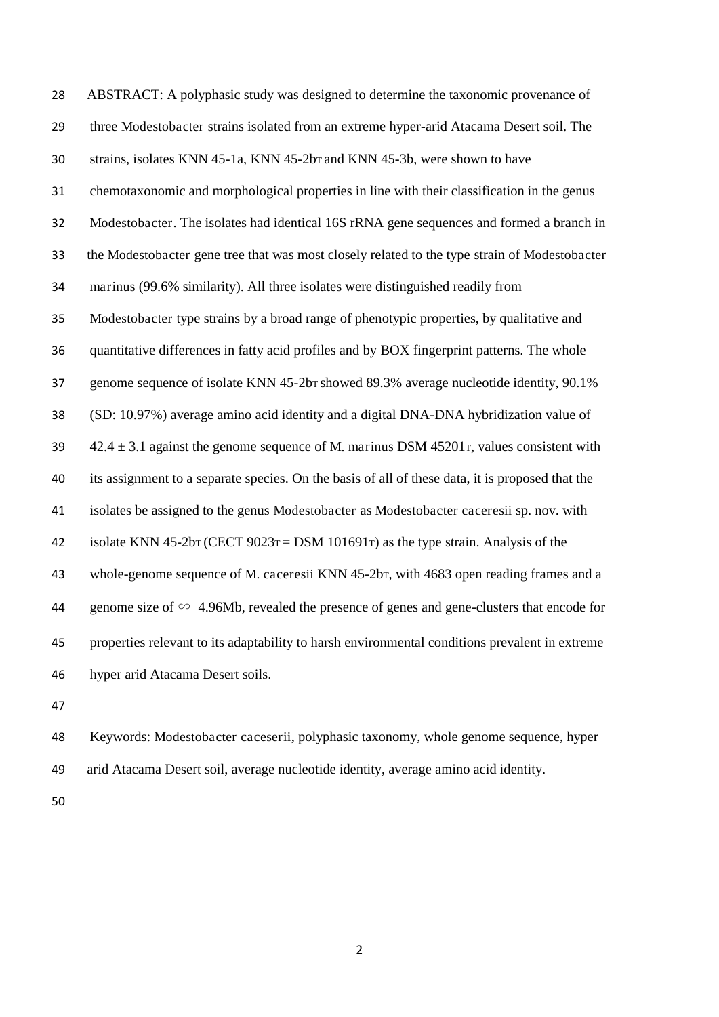ABSTRACT: A polyphasic study was designed to determine the taxonomic provenance of three Modestobacter strains isolated from an extreme hyper-arid Atacama Desert soil. The strains, isolates KNN 45-1a, KNN 45-2bT and KNN 45-3b, were shown to have chemotaxonomic and morphological properties in line with their classification in the genus Modestobacter. The isolates had identical 16S rRNA gene sequences and formed a branch in the Modestobacter gene tree that was most closely related to the type strain of Modestobacter marinus (99.6% similarity). All three isolates were distinguished readily from Modestobacter type strains by a broad range of phenotypic properties, by qualitative and quantitative differences in fatty acid profiles and by BOX fingerprint patterns. The whole 37 genome sequence of isolate KNN 45-2bT showed 89.3% average nucleotide identity, 90.1% (SD: 10.97%) average amino acid identity and a digital DNA-DNA hybridization value of  $42.4 \pm 3.1$  against the genome sequence of M. marinus DSM 45201 $\tau$ , values consistent with its assignment to a separate species. On the basis of all of these data, it is proposed that the isolates be assigned to the genus Modestobacter as Modestobacter caceresii sp. nov. with 42 isolate KNN 45-2bT (CECT  $9023T =$  DSM 101691T) as the type strain. Analysis of the whole-genome sequence of M. caceresii KNN 45-2bT, with 4683 open reading frames and a genome size of ∽ 4.96Mb, revealed the presence of genes and gene-clusters that encode for properties relevant to its adaptability to harsh environmental conditions prevalent in extreme hyper arid Atacama Desert soils.

 Keywords: Modestobacter caceserii, polyphasic taxonomy, whole genome sequence, hyper arid Atacama Desert soil, average nucleotide identity, average amino acid identity.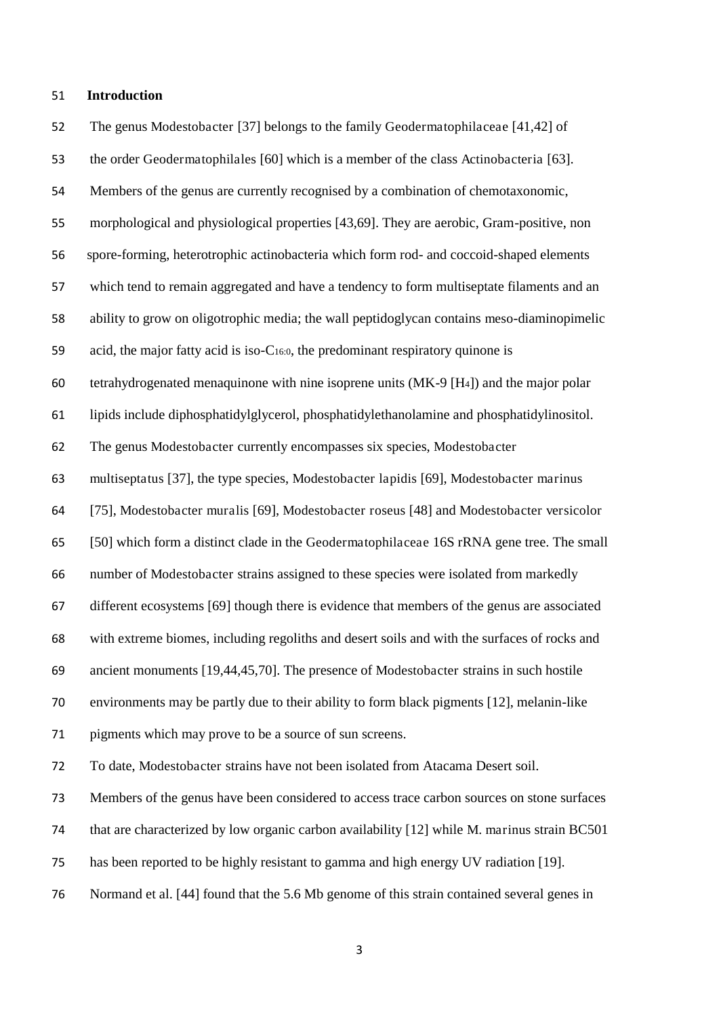#### **Introduction**

 The genus Modestobacter [37] belongs to the family Geodermatophilaceae [41,42] of the order Geodermatophilales [60] which is a member of the class Actinobacteria [63]. Members of the genus are currently recognised by a combination of chemotaxonomic, morphological and physiological properties [43,69]. They are aerobic, Gram-positive, non spore-forming, heterotrophic actinobacteria which form rod- and coccoid-shaped elements which tend to remain aggregated and have a tendency to form multiseptate filaments and an ability to grow on oligotrophic media; the wall peptidoglycan contains meso-diaminopimelic acid, the major fatty acid is iso-C16:0, the predominant respiratory quinone is 60 tetrahydrogenated menaquinone with nine isoprene units  $(MK-9 H4)$  and the major polar lipids include diphosphatidylglycerol, phosphatidylethanolamine and phosphatidylinositol. The genus Modestobacter currently encompasses six species, Modestobacter multiseptatus [37], the type species, Modestobacter lapidis [69], Modestobacter marinus [75], Modestobacter muralis [69], Modestobacter roseus [48] and Modestobacter versicolor [50] which form a distinct clade in the Geodermatophilaceae 16S rRNA gene tree. The small number of Modestobacter strains assigned to these species were isolated from markedly different ecosystems [69] though there is evidence that members of the genus are associated with extreme biomes, including regoliths and desert soils and with the surfaces of rocks and ancient monuments [19,44,45,70]. The presence of Modestobacter strains in such hostile environments may be partly due to their ability to form black pigments [12], melanin-like pigments which may prove to be a source of sun screens. To date, Modestobacter strains have not been isolated from Atacama Desert soil. Members of the genus have been considered to access trace carbon sources on stone surfaces that are characterized by low organic carbon availability [12] while M. marinus strain BC501 has been reported to be highly resistant to gamma and high energy UV radiation [19]. Normand et al. [44] found that the 5.6 Mb genome of this strain contained several genes in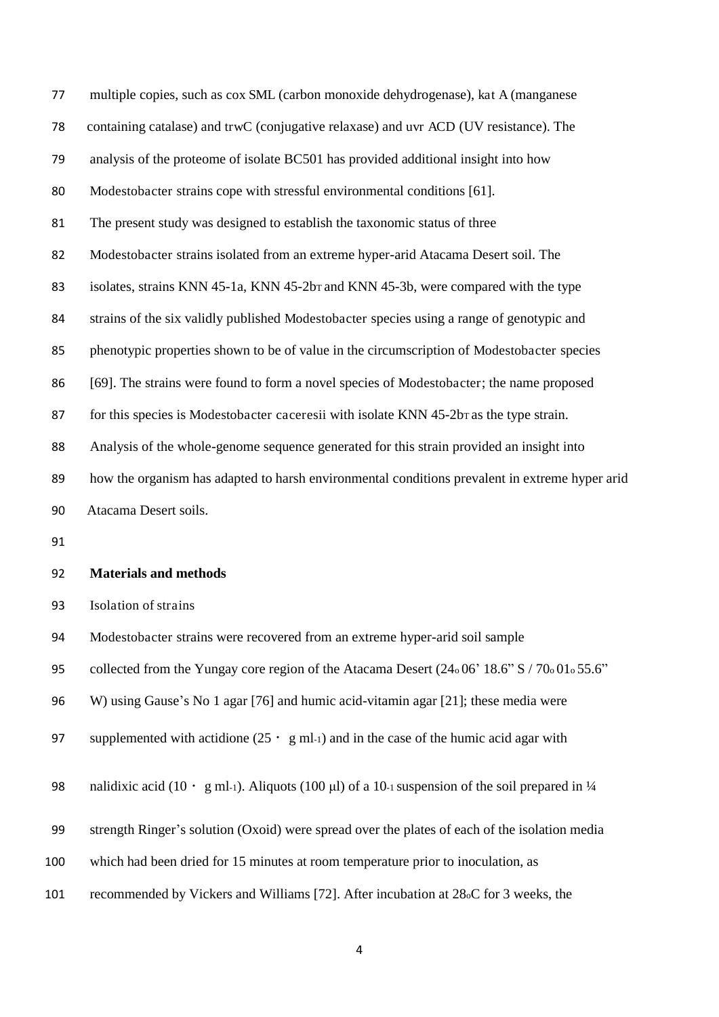| 77 | multiple copies, such as cox SML (carbon monoxide dehydrogenase), kat A (manganese             |
|----|------------------------------------------------------------------------------------------------|
| 78 | containing catalase) and trwC (conjugative relaxase) and uvr ACD (UV resistance). The          |
| 79 | analysis of the proteome of isolate BC501 has provided additional insight into how             |
| 80 | Modestobacter strains cope with stressful environmental conditions [61].                       |
| 81 | The present study was designed to establish the taxonomic status of three                      |
| 82 | Modestobacter strains isolated from an extreme hyper-arid Atacama Desert soil. The             |
| 83 | isolates, strains KNN 45-1a, KNN 45-2b <sub>T</sub> and KNN 45-3b, were compared with the type |
| 84 | strains of the six validly published Modestobacter species using a range of genotypic and      |
| 85 | phenotypic properties shown to be of value in the circumscription of Modestobacter species     |
| 86 | [69]. The strains were found to form a novel species of Modestobacter; the name proposed       |
| 87 | for this species is Modestobacter caceresii with isolate KNN 45-2br as the type strain.        |
| 88 | Analysis of the whole-genome sequence generated for this strain provided an insight into       |
| 89 | how the organism has adapted to harsh environmental conditions prevalent in extreme hyper arid |
| 90 | Atacama Desert soils.                                                                          |
| 91 |                                                                                                |
| 92 | <b>Materials and methods</b>                                                                   |
| 93 | Isolation of strains                                                                           |
| 94 | Modestobacter strains were recovered from an extreme hyper-arid soil sample                    |
| 95 | collected from the Yungay core region of the Atacama Desert (24.06' 18.6" S / 70.01.55.6"      |
| 96 | W) using Gause's No 1 agar [76] and humic acid-vitamin agar [21]; these media were             |

- 97 supplemented with actidione  $(25 \cdot g \text{ ml-1})$  and in the case of the humic acid agar with
- 98 nalidixic acid (10 · g ml-1). Aliquots (100 µl) of a 10-1 suspension of the soil prepared in  $\frac{1}{4}$
- strength Ringer's solution (Oxoid) were spread over the plates of each of the isolation media
- which had been dried for 15 minutes at room temperature prior to inoculation, as
- recommended by Vickers and Williams [72]. After incubation at 28oC for 3 weeks, the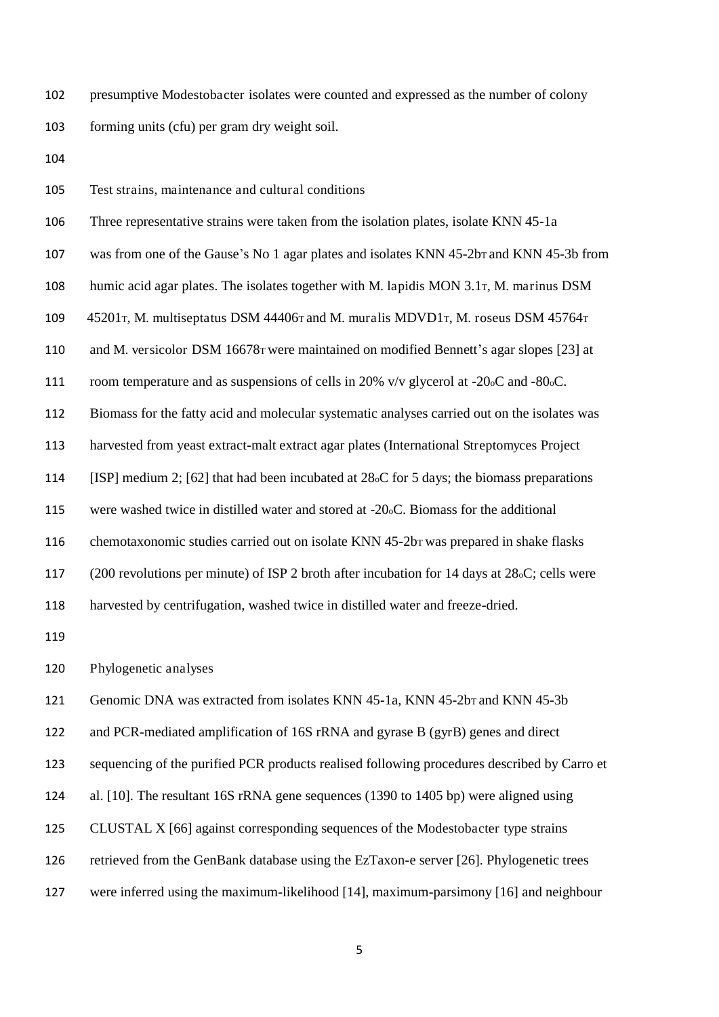presumptive Modestobacter isolates were counted and expressed as the number of colony forming units (cfu) per gram dry weight soil.

Test strains, maintenance and cultural conditions

 Three representative strains were taken from the isolation plates, isolate KNN 45-1a 107 was from one of the Gause's No 1 agar plates and isolates KNN 45-2b<sub>T</sub> and KNN 45-3b from humic acid agar plates. The isolates together with M. lapidis MON 3.1T, M. marinus DSM 109 45201 T, M. multiseptatus DSM 44406 r and M. muralis MDVD1 T, M. roseus DSM 45764 T and M. versicolor DSM 16678T were maintained on modified Bennett's agar slopes [23] at room temperature and as suspensions of cells in 20% v/v glycerol at -20oC and -80oC. Biomass for the fatty acid and molecular systematic analyses carried out on the isolates was harvested from yeast extract-malt extract agar plates (International Streptomyces Project [ISP] medium 2; [62] that had been incubated at 28oC for 5 days; the biomass preparations were washed twice in distilled water and stored at -20oC. Biomass for the additional chemotaxonomic studies carried out on isolate KNN 45-2bT was prepared in shake flasks (200 revolutions per minute) of ISP 2 broth after incubation for 14 days at 28oC; cells were harvested by centrifugation, washed twice in distilled water and freeze-dried.

Phylogenetic analyses

121 Genomic DNA was extracted from isolates KNN 45-1a, KNN 45-2bT and KNN 45-3b

and PCR-mediated amplification of 16S rRNA and gyrase B (gyrB) genes and direct

sequencing of the purified PCR products realised following procedures described by Carro et

al. [10]. The resultant 16S rRNA gene sequences (1390 to 1405 bp) were aligned using

CLUSTAL X [66] against corresponding sequences of the Modestobacter type strains

retrieved from the GenBank database using the EzTaxon-e server [26]. Phylogenetic trees

were inferred using the maximum-likelihood [14], maximum-parsimony [16] and neighbour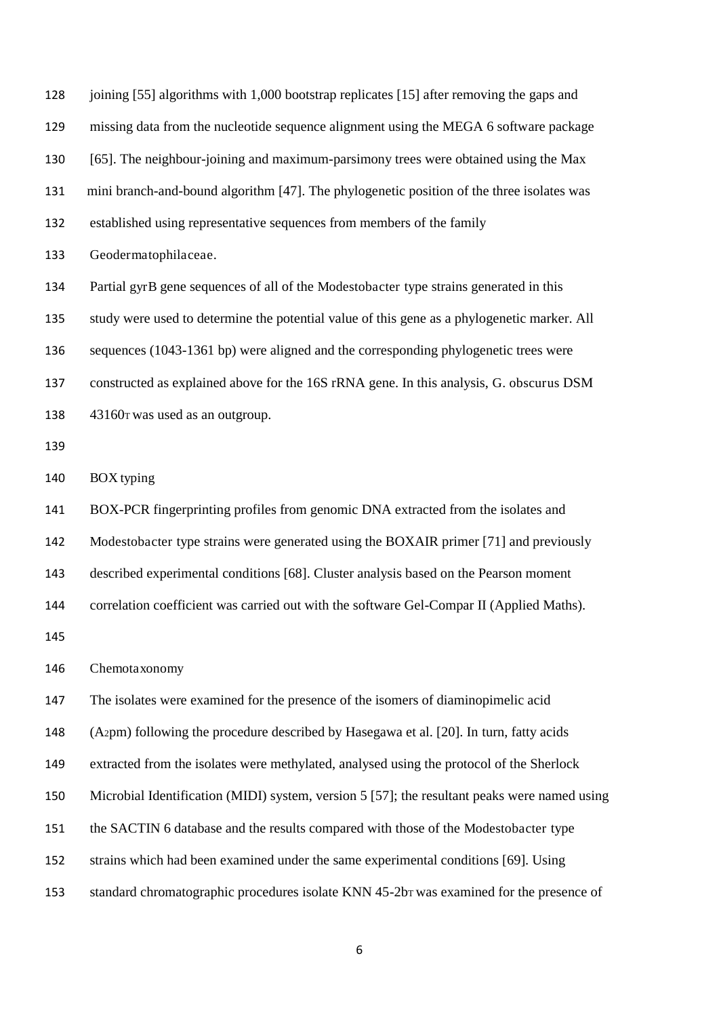| 128 | joining [55] algorithms with 1,000 bootstrap replicates [15] after removing the gaps and     |
|-----|----------------------------------------------------------------------------------------------|
| 129 | missing data from the nucleotide sequence alignment using the MEGA 6 software package        |
| 130 | [65]. The neighbour-joining and maximum-parsimony trees were obtained using the Max          |
| 131 | mini branch-and-bound algorithm [47]. The phylogenetic position of the three isolates was    |
| 132 | established using representative sequences from members of the family                        |
| 133 | Geodermatophilaceae.                                                                         |
| 134 | Partial gyrB gene sequences of all of the Modestobacter type strains generated in this       |
| 135 | study were used to determine the potential value of this gene as a phylogenetic marker. All  |
| 136 | sequences (1043-1361 bp) were aligned and the corresponding phylogenetic trees were          |
| 137 | constructed as explained above for the 16S rRNA gene. In this analysis, G. obscurus DSM      |
| 138 | 43160 r was used as an outgroup.                                                             |
| 139 |                                                                                              |
| 140 | <b>BOX</b> typing                                                                            |
| 141 | BOX-PCR fingerprinting profiles from genomic DNA extracted from the isolates and             |
| 142 | Modestobacter type strains were generated using the BOXAIR primer [71] and previously        |
| 143 | described experimental conditions [68]. Cluster analysis based on the Pearson moment         |
| 144 | correlation coefficient was carried out with the software Gel-Compar II (Applied Maths).     |
| 145 |                                                                                              |
| 146 | Chemotaxonomy                                                                                |
| 147 | The isolates were examined for the presence of the isomers of diaminopimelic acid            |
| 148 | (A2pm) following the procedure described by Hasegawa et al. [20]. In turn, fatty acids       |
| 149 | extracted from the isolates were methylated, analysed using the protocol of the Sherlock     |
| 150 | Microbial Identification (MIDI) system, version 5 [57]; the resultant peaks were named using |
| 151 | the SACTIN 6 database and the results compared with those of the Modestobacter type          |
| 152 | strains which had been examined under the same experimental conditions [69]. Using           |
| 153 | standard chromatographic procedures isolate KNN 45-2br was examined for the presence of      |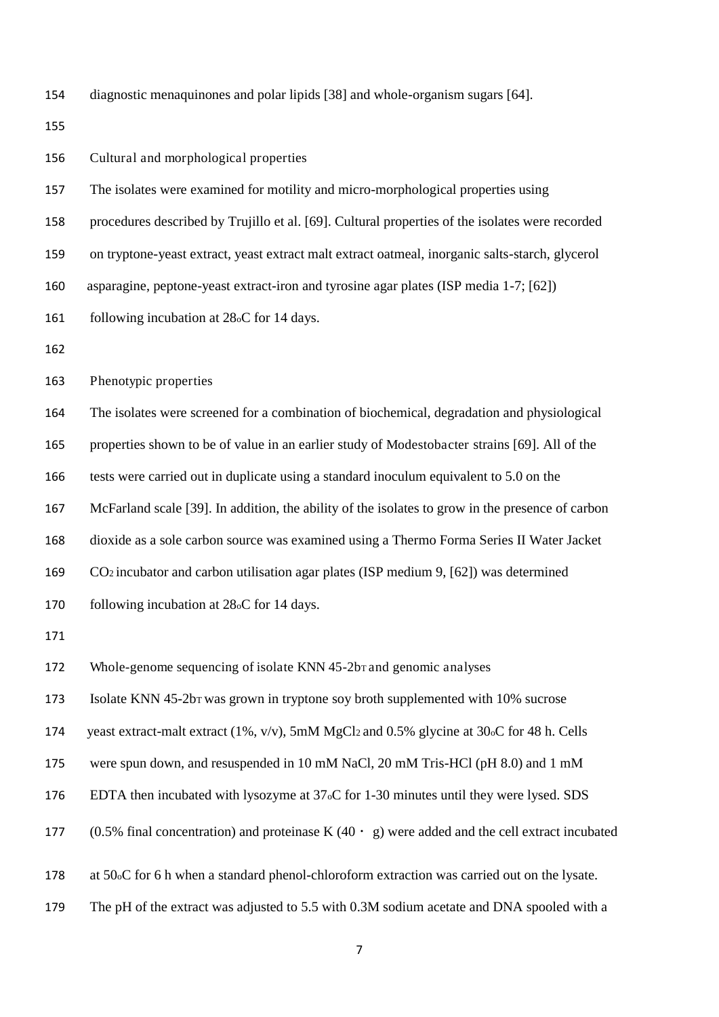diagnostic menaquinones and polar lipids [38] and whole-organism sugars [64].

Cultural and morphological properties

The isolates were examined for motility and micro-morphological properties using

procedures described by Trujillo et al. [69]. Cultural properties of the isolates were recorded

on tryptone-yeast extract, yeast extract malt extract oatmeal, inorganic salts-starch, glycerol

asparagine, peptone-yeast extract-iron and tyrosine agar plates (ISP media 1-7; [62])

161 following incubation at 28<sub>o</sub>C for 14 days.

Phenotypic properties

The isolates were screened for a combination of biochemical, degradation and physiological

properties shown to be of value in an earlier study of Modestobacter strains [69]. All of the

tests were carried out in duplicate using a standard inoculum equivalent to 5.0 on the

McFarland scale [39]. In addition, the ability of the isolates to grow in the presence of carbon

dioxide as a sole carbon source was examined using a Thermo Forma Series II Water Jacket

CO2 incubator and carbon utilisation agar plates (ISP medium 9, [62]) was determined

following incubation at 28oC for 14 days.

172 Whole-genome sequencing of isolate KNN 45-2b<sub>T</sub> and genomic analyses

Isolate KNN 45-2bT was grown in tryptone soy broth supplemented with 10% sucrose

yeast extract-malt extract (1%, v/v), 5mM MgCl2 and 0.5% glycine at 30oC for 48 h. Cells

were spun down, and resuspended in 10 mM NaCl, 20 mM Tris-HCl (pH 8.0) and 1 mM

EDTA then incubated with lysozyme at 37oC for 1-30 minutes until they were lysed. SDS

177 (0.5% final concentration) and proteinase K (40  $\cdot$  g) were added and the cell extract incubated

at 50oC for 6 h when a standard phenol-chloroform extraction was carried out on the lysate.

The pH of the extract was adjusted to 5.5 with 0.3M sodium acetate and DNA spooled with a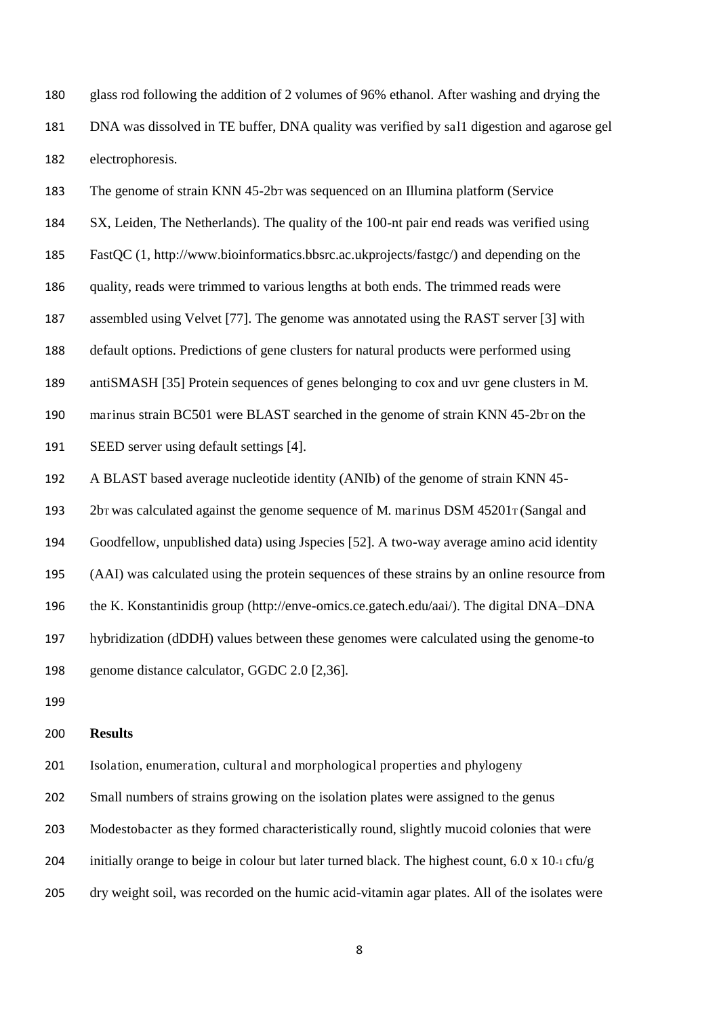glass rod following the addition of 2 volumes of 96% ethanol. After washing and drying the DNA was dissolved in TE buffer, DNA quality was verified by sal1 digestion and agarose gel electrophoresis.

183 The genome of strain KNN 45-2bT was sequenced on an Illumina platform (Service SX, Leiden, The Netherlands). The quality of the 100-nt pair end reads was verified using FastQC (1, http://www.bioinformatics.bbsrc.ac.ukprojects/fastgc/) and depending on the quality, reads were trimmed to various lengths at both ends. The trimmed reads were assembled using Velvet [77]. The genome was annotated using the RAST server [3] with default options. Predictions of gene clusters for natural products were performed using antiSMASH [35] Protein sequences of genes belonging to cox and uvr gene clusters in M. 190 marinus strain BC501 were BLAST searched in the genome of strain KNN 45-2bT on the SEED server using default settings [4]. A BLAST based average nucleotide identity (ANIb) of the genome of strain KNN 45- 2bT was calculated against the genome sequence of M. marinus DSM 45201T (Sangal and Goodfellow, unpublished data) using Jspecies [52]. A two-way average amino acid identity

 (AAI) was calculated using the protein sequences of these strains by an online resource from the K. Konstantinidis group (http://enve-omics.ce.gatech.edu/aai/). The digital DNA–DNA hybridization (dDDH) values between these genomes were calculated using the genome-to genome distance calculator, GGDC 2.0 [2,36].

#### **Results**

Isolation, enumeration, cultural and morphological properties and phylogeny

Small numbers of strains growing on the isolation plates were assigned to the genus

Modestobacter as they formed characteristically round, slightly mucoid colonies that were

204 initially orange to beige in colour but later turned black. The highest count,  $6.0 \times 10$ -1 cfu/g

dry weight soil, was recorded on the humic acid-vitamin agar plates. All of the isolates were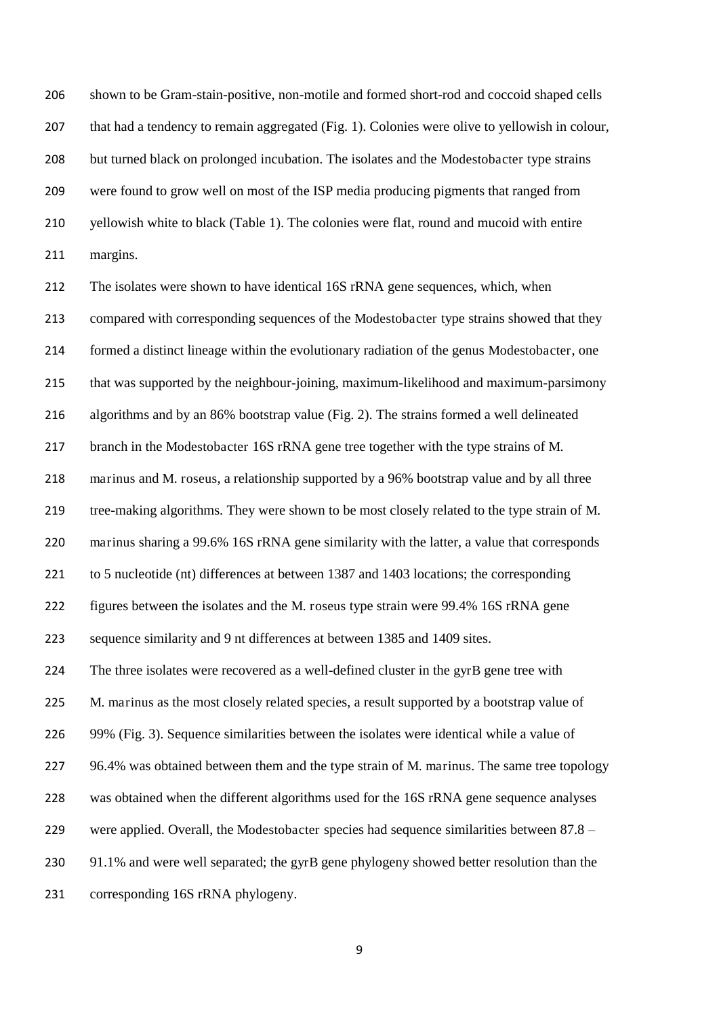shown to be Gram-stain-positive, non-motile and formed short-rod and coccoid shaped cells that had a tendency to remain aggregated (Fig. 1). Colonies were olive to yellowish in colour, but turned black on prolonged incubation. The isolates and the Modestobacter type strains were found to grow well on most of the ISP media producing pigments that ranged from yellowish white to black (Table 1). The colonies were flat, round and mucoid with entire margins.

 The isolates were shown to have identical 16S rRNA gene sequences, which, when compared with corresponding sequences of the Modestobacter type strains showed that they formed a distinct lineage within the evolutionary radiation of the genus Modestobacter, one that was supported by the neighbour-joining, maximum-likelihood and maximum-parsimony algorithms and by an 86% bootstrap value (Fig. 2). The strains formed a well delineated branch in the Modestobacter 16S rRNA gene tree together with the type strains of M. marinus and M. roseus, a relationship supported by a 96% bootstrap value and by all three tree-making algorithms. They were shown to be most closely related to the type strain of M. marinus sharing a 99.6% 16S rRNA gene similarity with the latter, a value that corresponds to 5 nucleotide (nt) differences at between 1387 and 1403 locations; the corresponding figures between the isolates and the M. roseus type strain were 99.4% 16S rRNA gene sequence similarity and 9 nt differences at between 1385 and 1409 sites. 224 The three isolates were recovered as a well-defined cluster in the gyrB gene tree with 225 M. marinus as the most closely related species, a result supported by a bootstrap value of 99% (Fig. 3). Sequence similarities between the isolates were identical while a value of 227 96.4% was obtained between them and the type strain of M. marinus. The same tree topology was obtained when the different algorithms used for the 16S rRNA gene sequence analyses 229 were applied. Overall, the Modestobacter species had sequence similarities between 87.8 – 230 91.1% and were well separated; the gyrB gene phylogeny showed better resolution than the corresponding 16S rRNA phylogeny.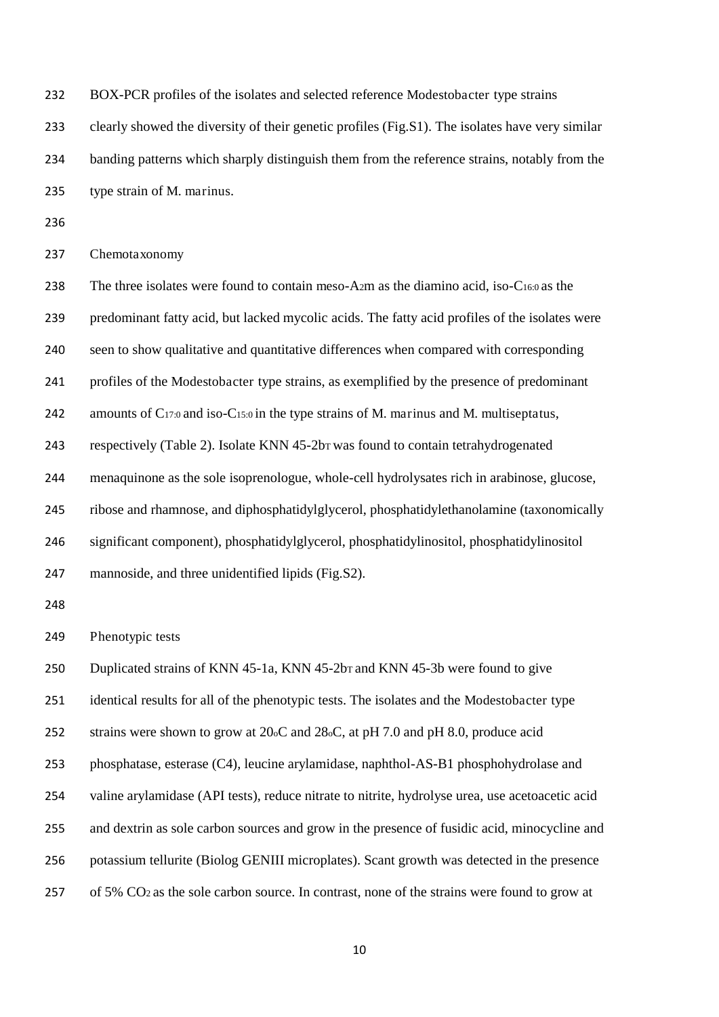BOX-PCR profiles of the isolates and selected reference Modestobacter type strains

clearly showed the diversity of their genetic profiles (Fig.S1). The isolates have very similar

banding patterns which sharply distinguish them from the reference strains, notably from the

type strain of M. marinus.

Chemotaxonomy

238 The three isolates were found to contain meso-A2m as the diamino acid, iso-C16:0 as the predominant fatty acid, but lacked mycolic acids. The fatty acid profiles of the isolates were seen to show qualitative and quantitative differences when compared with corresponding profiles of the Modestobacter type strains, as exemplified by the presence of predominant 242 amounts of C<sub>17:0</sub> and iso-C<sub>15:0</sub> in the type strains of M. marinus and M. multiseptatus, respectively (Table 2). Isolate KNN 45-2bT was found to contain tetrahydrogenated menaquinone as the sole isoprenologue, whole-cell hydrolysates rich in arabinose, glucose, ribose and rhamnose, and diphosphatidylglycerol, phosphatidylethanolamine (taxonomically significant component), phosphatidylglycerol, phosphatidylinositol, phosphatidylinositol mannoside, and three unidentified lipids (Fig.S2). Phenotypic tests 250 Duplicated strains of KNN 45-1a, KNN 45-2b<sub>T</sub> and KNN 45-3b were found to give identical results for all of the phenotypic tests. The isolates and the Modestobacter type strains were shown to grow at 20oC and 28oC, at pH 7.0 and pH 8.0, produce acid phosphatase, esterase (C4), leucine arylamidase, naphthol-AS-B1 phosphohydrolase and valine arylamidase (API tests), reduce nitrate to nitrite, hydrolyse urea, use acetoacetic acid and dextrin as sole carbon sources and grow in the presence of fusidic acid, minocycline and potassium tellurite (Biolog GENIII microplates). Scant growth was detected in the presence of 5% CO2 as the sole carbon source. In contrast, none of the strains were found to grow at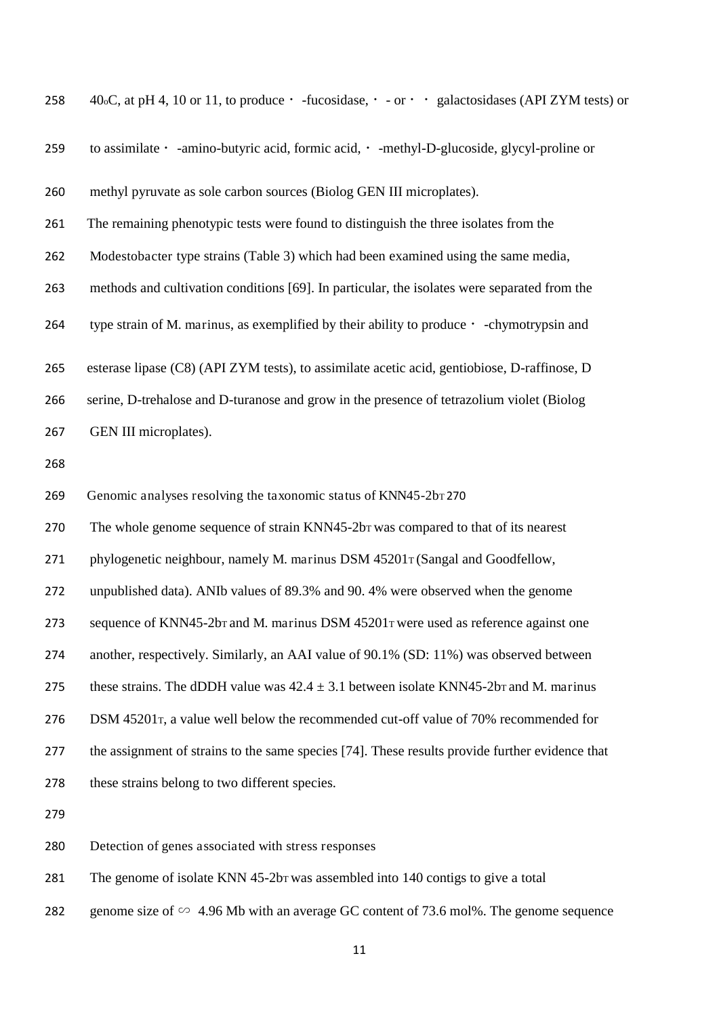| 259 | to assimilate · -amino-butyric acid, formic acid, · -methyl-D-glucoside, glycyl-proline or      |
|-----|-------------------------------------------------------------------------------------------------|
| 260 | methyl pyruvate as sole carbon sources (Biolog GEN III microplates).                            |
| 261 | The remaining phenotypic tests were found to distinguish the three isolates from the            |
| 262 | Modestobacter type strains (Table 3) which had been examined using the same media,              |
| 263 | methods and cultivation conditions [69]. In particular, the isolates were separated from the    |
| 264 | type strain of M. marinus, as exemplified by their ability to produce · -chymotrypsin and       |
| 265 | esterase lipase (C8) (API ZYM tests), to assimilate acetic acid, gentiobiose, D-raffinose, D    |
| 266 | serine, D-trehalose and D-turanose and grow in the presence of tetrazolium violet (Biolog       |
| 267 | GEN III microplates).                                                                           |
| 268 |                                                                                                 |
| 269 | Genomic analyses resolving the taxonomic status of KNN45-2bT 270                                |
| 270 | The whole genome sequence of strain KNN45-2br was compared to that of its nearest               |
| 271 | phylogenetic neighbour, namely M. marinus DSM 45201 T (Sangal and Goodfellow,                   |
| 272 | unpublished data). ANIb values of 89.3% and 90.4% were observed when the genome                 |
| 273 | sequence of KNN45-2br and M. marinus DSM 45201 r were used as reference against one             |
| 274 | another, respectively. Similarly, an AAI value of 90.1% (SD: 11%) was observed between          |
| 275 | these strains. The dDDH value was $42.4 \pm 3.1$ between isolate KNN45-2br and M. marinus       |
| 276 | DSM 45201 $\tau$ , a value well below the recommended cut-off value of 70% recommended for      |
| 277 | the assignment of strains to the same species [74]. These results provide further evidence that |
| 278 | these strains belong to two different species.                                                  |
| 279 |                                                                                                 |
| 280 | Detection of genes associated with stress responses                                             |
| 281 | The genome of isolate KNN 45-2br was assembled into 140 contigs to give a total                 |

258  $40\text{oC}$ , at pH 4, 10 or 11, to produce  $\cdot$  -fucosidase,  $\cdot$  - or  $\cdot$   $\cdot$  galactosidases (API ZYM tests) or

282 genome size of ∽ 4.96 Mb with an average GC content of 73.6 mol%. The genome sequence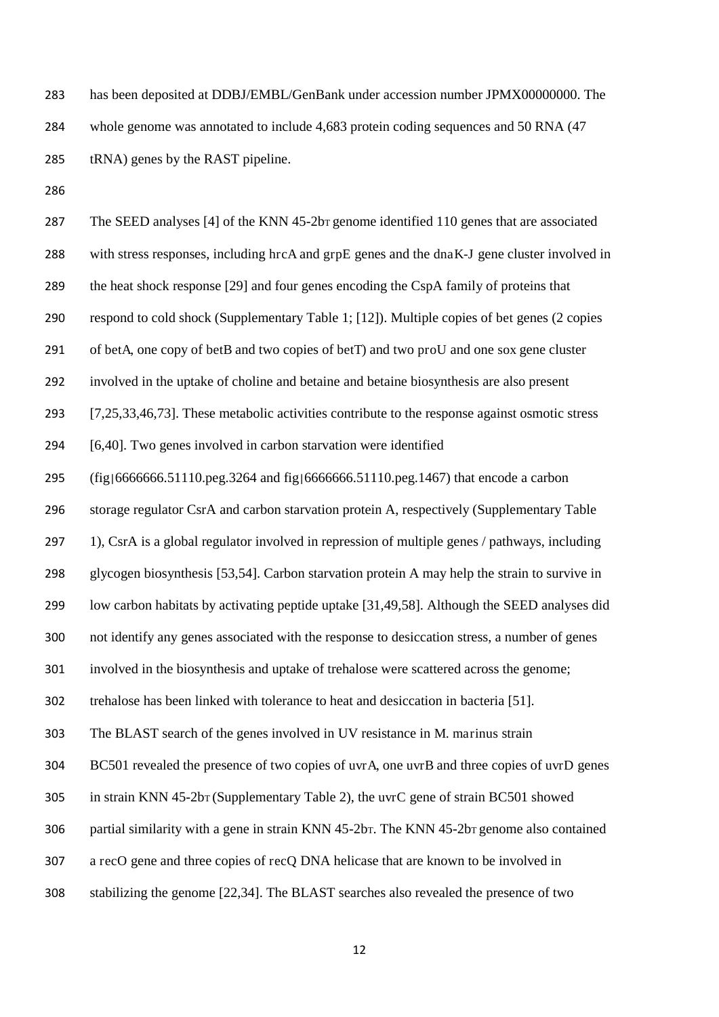has been deposited at DDBJ/EMBL/GenBank under accession number JPMX00000000. The whole genome was annotated to include 4,683 protein coding sequences and 50 RNA (47 tRNA) genes by the RAST pipeline.

287 The SEED analyses [4] of the KNN 45-2bT genome identified 110 genes that are associated with stress responses, including hrcA and grpE genes and the dnaK-J gene cluster involved in the heat shock response [29] and four genes encoding the CspA family of proteins that respond to cold shock (Supplementary Table 1; [12]). Multiple copies of bet genes (2 copies of betA, one copy of betB and two copies of betT) and two proU and one sox gene cluster involved in the uptake of choline and betaine and betaine biosynthesis are also present [7,25,33,46,73]. These metabolic activities contribute to the response against osmotic stress [6,40]. Two genes involved in carbon starvation were identified (fig|6666666.51110.peg.3264 and fig|6666666.51110.peg.1467) that encode a carbon storage regulator CsrA and carbon starvation protein A, respectively (Supplementary Table 297 1), CsrA is a global regulator involved in repression of multiple genes / pathways, including glycogen biosynthesis [53,54]. Carbon starvation protein A may help the strain to survive in low carbon habitats by activating peptide uptake [31,49,58]. Although the SEED analyses did not identify any genes associated with the response to desiccation stress, a number of genes involved in the biosynthesis and uptake of trehalose were scattered across the genome; trehalose has been linked with tolerance to heat and desiccation in bacteria [51]. The BLAST search of the genes involved in UV resistance in M. marinus strain BC501 revealed the presence of two copies of uvrA, one uvrB and three copies of uvrD genes in strain KNN 45-2bT (Supplementary Table 2), the uvrC gene of strain BC501 showed 306 partial similarity with a gene in strain KNN 45-2bT. The KNN 45-2bT genome also contained a recO gene and three copies of recQ DNA helicase that are known to be involved in stabilizing the genome [22,34]. The BLAST searches also revealed the presence of two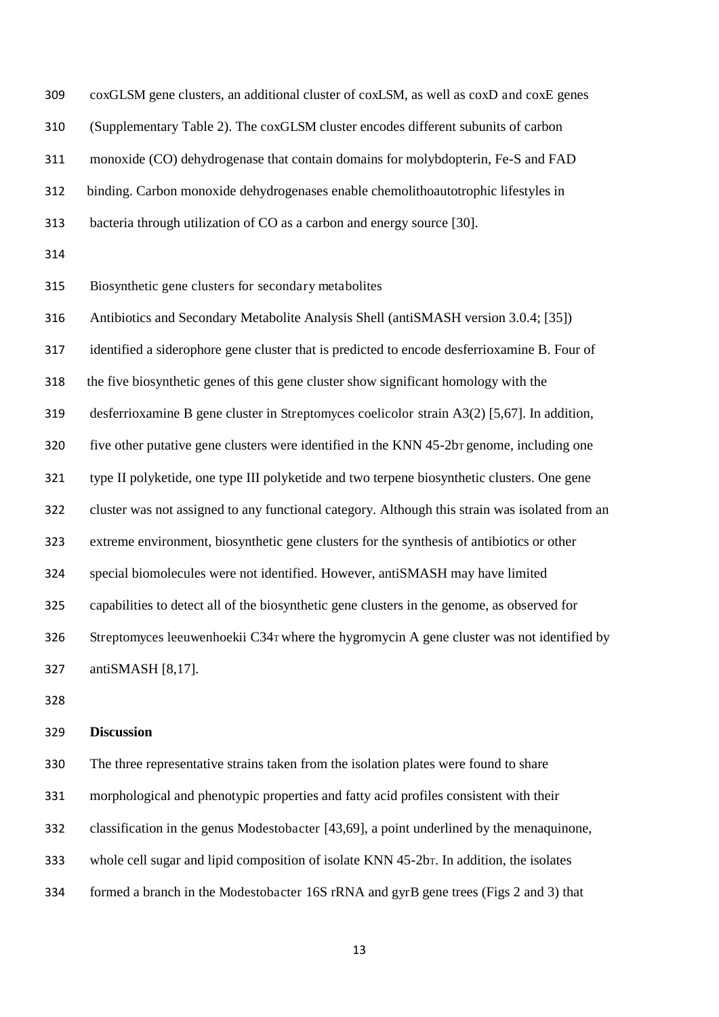coxGLSM gene clusters, an additional cluster of coxLSM, as well as coxD and coxE genes (Supplementary Table 2). The coxGLSM cluster encodes different subunits of carbon monoxide (CO) dehydrogenase that contain domains for molybdopterin, Fe-S and FAD binding. Carbon monoxide dehydrogenases enable chemolithoautotrophic lifestyles in bacteria through utilization of CO as a carbon and energy source [30]. Biosynthetic gene clusters for secondary metabolites Antibiotics and Secondary Metabolite Analysis Shell (antiSMASH version 3.0.4; [35]) identified a siderophore gene cluster that is predicted to encode desferrioxamine B. Four of the five biosynthetic genes of this gene cluster show significant homology with the desferrioxamine B gene cluster in Streptomyces coelicolor strain A3(2) [5,67]. In addition, 320 five other putative gene clusters were identified in the KNN 45-2bT genome, including one type II polyketide, one type III polyketide and two terpene biosynthetic clusters. One gene cluster was not assigned to any functional category. Although this strain was isolated from an extreme environment, biosynthetic gene clusters for the synthesis of antibiotics or other special biomolecules were not identified. However, antiSMASH may have limited capabilities to detect all of the biosynthetic gene clusters in the genome, as observed for Streptomyces leeuwenhoekii C34T where the hygromycin A gene cluster was not identified by antiSMASH [8,17].

#### **Discussion**

 The three representative strains taken from the isolation plates were found to share morphological and phenotypic properties and fatty acid profiles consistent with their classification in the genus Modestobacter [43,69], a point underlined by the menaquinone, whole cell sugar and lipid composition of isolate KNN 45-2bT. In addition, the isolates formed a branch in the Modestobacter 16S rRNA and gyrB gene trees (Figs 2 and 3) that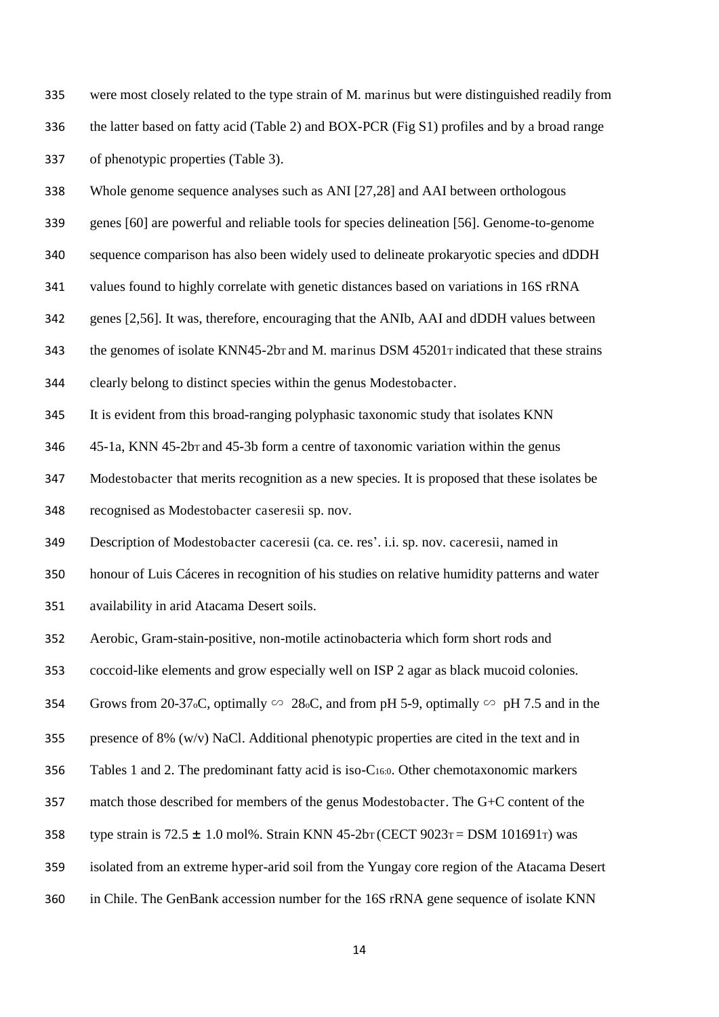were most closely related to the type strain of M. marinus but were distinguished readily from the latter based on fatty acid (Table 2) and BOX-PCR (Fig S1) profiles and by a broad range of phenotypic properties (Table 3).

Whole genome sequence analyses such as ANI [27,28] and AAI between orthologous

genes [60] are powerful and reliable tools for species delineation [56]. Genome-to-genome

sequence comparison has also been widely used to delineate prokaryotic species and dDDH

values found to highly correlate with genetic distances based on variations in 16S rRNA

genes [2,56]. It was, therefore, encouraging that the ANIb, AAI and dDDH values between

343 the genomes of isolate KNN45-2bT and M. marinus DSM 45201T indicated that these strains

clearly belong to distinct species within the genus Modestobacter.

It is evident from this broad-ranging polyphasic taxonomic study that isolates KNN

45-1a, KNN 45-2bT and 45-3b form a centre of taxonomic variation within the genus

Modestobacter that merits recognition as a new species. It is proposed that these isolates be

recognised as Modestobacter caseresii sp. nov.

Description of Modestobacter caceresii (ca. ce. res'. i.i. sp. nov. caceresii, named in

honour of Luis Cáceres in recognition of his studies on relative humidity patterns and water

availability in arid Atacama Desert soils.

Aerobic, Gram-stain-positive, non-motile actinobacteria which form short rods and

coccoid-like elements and grow especially well on ISP 2 agar as black mucoid colonies.

354 Grows from 20-37<sub>o</sub>C, optimally ∽ 28<sub>o</sub>C, and from pH 5-9, optimally ∽ pH 7.5 and in the

presence of 8% (w/v) NaCl. Additional phenotypic properties are cited in the text and in

Tables 1 and 2. The predominant fatty acid is iso-C16:0. Other chemotaxonomic markers

match those described for members of the genus Modestobacter. The G+C content of the

- 358 type strain is  $72.5 \pm 1.0 \text{ mol}$ %. Strain KNN 45-2bT (CECT 9023 $\text{T} =$  DSM 101691 $\text{T}$ ) was
- isolated from an extreme hyper-arid soil from the Yungay core region of the Atacama Desert
- in Chile. The GenBank accession number for the 16S rRNA gene sequence of isolate KNN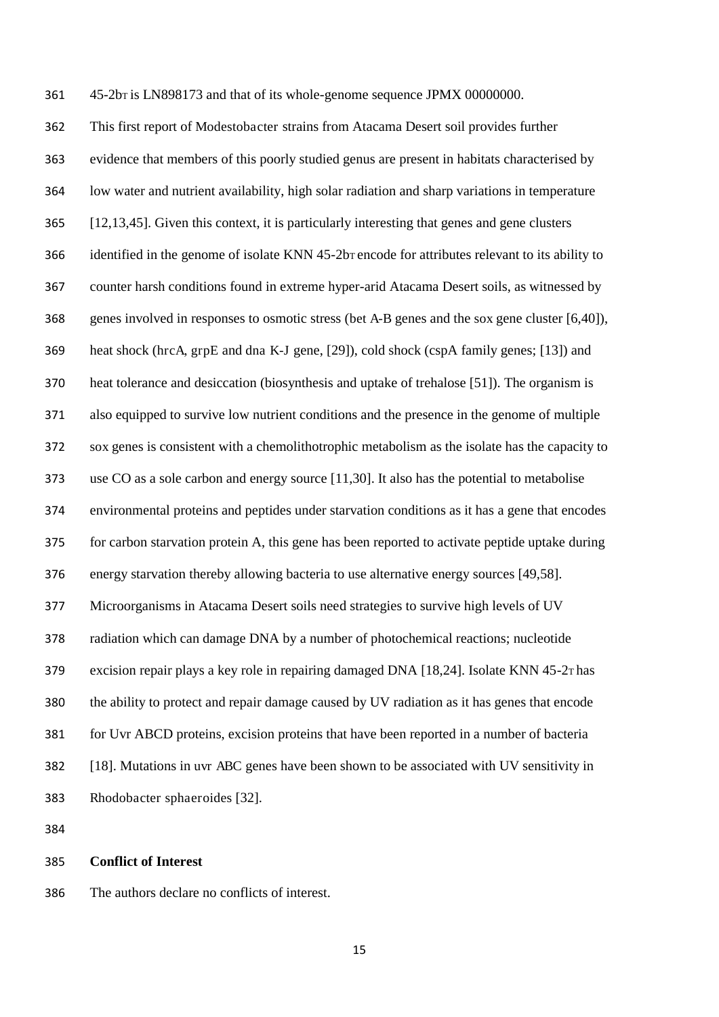45-2bT is LN898173 and that of its whole-genome sequence JPMX 00000000.

 This first report of Modestobacter strains from Atacama Desert soil provides further evidence that members of this poorly studied genus are present in habitats characterised by low water and nutrient availability, high solar radiation and sharp variations in temperature [12,13,45]. Given this context, it is particularly interesting that genes and gene clusters 366 identified in the genome of isolate KNN 45-2b<sub>T</sub> encode for attributes relevant to its ability to counter harsh conditions found in extreme hyper-arid Atacama Desert soils, as witnessed by genes involved in responses to osmotic stress (bet A-B genes and the sox gene cluster [6,40]), heat shock (hrcA, grpE and dna K-J gene, [29]), cold shock (cspA family genes; [13]) and heat tolerance and desiccation (biosynthesis and uptake of trehalose [51]). The organism is also equipped to survive low nutrient conditions and the presence in the genome of multiple sox genes is consistent with a chemolithotrophic metabolism as the isolate has the capacity to use CO as a sole carbon and energy source [11,30]. It also has the potential to metabolise environmental proteins and peptides under starvation conditions as it has a gene that encodes for carbon starvation protein A, this gene has been reported to activate peptide uptake during energy starvation thereby allowing bacteria to use alternative energy sources [49,58]. Microorganisms in Atacama Desert soils need strategies to survive high levels of UV radiation which can damage DNA by a number of photochemical reactions; nucleotide excision repair plays a key role in repairing damaged DNA [18,24]. Isolate KNN 45-2T has the ability to protect and repair damage caused by UV radiation as it has genes that encode for Uvr ABCD proteins, excision proteins that have been reported in a number of bacteria [18]. Mutations in uvr ABC genes have been shown to be associated with UV sensitivity in Rhodobacter sphaeroides [32].

#### **Conflict of Interest**

The authors declare no conflicts of interest.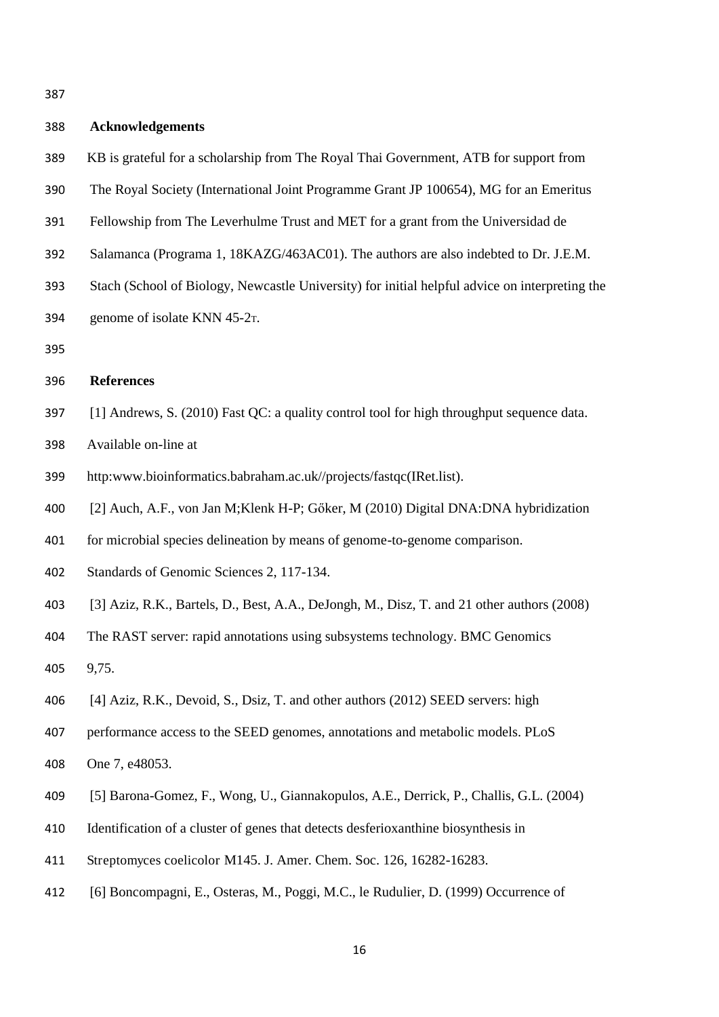| 388 | <b>Acknowledgements</b>                                                                        |
|-----|------------------------------------------------------------------------------------------------|
| 389 | KB is grateful for a scholarship from The Royal Thai Government, ATB for support from          |
| 390 | The Royal Society (International Joint Programme Grant JP 100654), MG for an Emeritus          |
| 391 | Fellowship from The Leverhulme Trust and MET for a grant from the Universidad de               |
| 392 | Salamanca (Programa 1, 18KAZG/463AC01). The authors are also indebted to Dr. J.E.M.            |
| 393 | Stach (School of Biology, Newcastle University) for initial helpful advice on interpreting the |
| 394 | genome of isolate KNN 45-2 <sub>T</sub> .                                                      |
| 395 |                                                                                                |
| 396 | <b>References</b>                                                                              |
| 397 | [1] Andrews, S. (2010) Fast QC: a quality control tool for high throughput sequence data.      |
| 398 | Available on-line at                                                                           |
| 399 | http:www.bioinformatics.babraham.ac.uk//projects/fastqc(IRet.list).                            |
| 400 | [2] Auch, A.F., von Jan M; Klenk H-P; Gőker, M (2010) Digital DNA: DNA hybridization           |
| 401 | for microbial species delineation by means of genome-to-genome comparison.                     |
| 402 | Standards of Genomic Sciences 2, 117-134.                                                      |
| 403 | [3] Aziz, R.K., Bartels, D., Best, A.A., DeJongh, M., Disz, T. and 21 other authors (2008)     |
| 404 | The RAST server: rapid annotations using subsystems technology. BMC Genomics                   |
| 405 | 9,75.                                                                                          |
| 406 | [4] Aziz, R.K., Devoid, S., Dsiz, T. and other authors (2012) SEED servers: high               |
| 407 | performance access to the SEED genomes, annotations and metabolic models. PLoS                 |
| 408 | One 7, e48053.                                                                                 |
| 409 | [5] Barona-Gomez, F., Wong, U., Giannakopulos, A.E., Derrick, P., Challis, G.L. (2004)         |
| 410 | Identification of a cluster of genes that detects desferioxanthine biosynthesis in             |
| 411 | Streptomyces coelicolor M145. J. Amer. Chem. Soc. 126, 16282-16283.                            |
| 412 | [6] Boncompagni, E., Osteras, M., Poggi, M.C., le Rudulier, D. (1999) Occurrence of            |
|     |                                                                                                |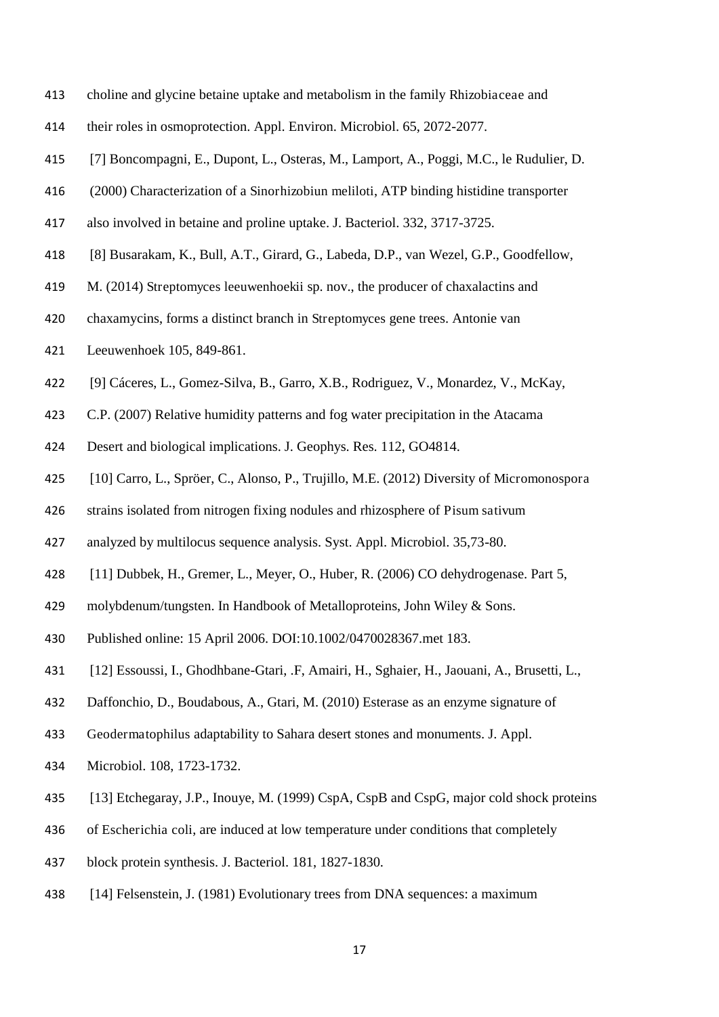- choline and glycine betaine uptake and metabolism in the family Rhizobiaceae and
- their roles in osmoprotection. Appl. Environ. Microbiol. 65, 2072-2077.
- [7] Boncompagni, E., Dupont, L., Osteras, M., Lamport, A., Poggi, M.C., le Rudulier, D.
- (2000) Characterization of a Sinorhizobiun meliloti, ATP binding histidine transporter
- also involved in betaine and proline uptake. J. Bacteriol. 332, 3717-3725.
- [8] Busarakam, K., Bull, A.T., Girard, G., Labeda, D.P., van Wezel, G.P., Goodfellow,
- M. (2014) Streptomyces leeuwenhoekii sp. nov., the producer of chaxalactins and
- chaxamycins, forms a distinct branch in Streptomyces gene trees. Antonie van
- Leeuwenhoek 105, 849-861.
- [9] Cáceres, L., Gomez-Silva, B., Garro, X.B., Rodriguez, V., Monardez, V., McKay,
- C.P. (2007) Relative humidity patterns and fog water precipitation in the Atacama
- Desert and biological implications. J. Geophys. Res. 112, GO4814.
- [10] Carro, L., Spröer, C., Alonso, P., Trujillo, M.E. (2012) Diversity of Micromonospora
- strains isolated from nitrogen fixing nodules and rhizosphere of Pisum sativum
- analyzed by multilocus sequence analysis. Syst. Appl. Microbiol. 35,73-80.
- [11] Dubbek, H., Gremer, L., Meyer, O., Huber, R. (2006) CO dehydrogenase. Part 5,
- molybdenum/tungsten. In Handbook of Metalloproteins, John Wiley & Sons.
- Published online: 15 April 2006. DOI:10.1002/0470028367.met 183.
- [12] Essoussi, I., Ghodhbane-Gtari, .F, Amairi, H., Sghaier, H., Jaouani, A., Brusetti, L.,
- Daffonchio, D., Boudabous, A., Gtari, M. (2010) Esterase as an enzyme signature of
- Geodermatophilus adaptability to Sahara desert stones and monuments. J. Appl.
- Microbiol. 108, 1723-1732.
- [13] Etchegaray, J.P., Inouye, M. (1999) CspA, CspB and CspG, major cold shock proteins
- of Escherichia coli, are induced at low temperature under conditions that completely
- block protein synthesis. J. Bacteriol. 181, 1827-1830.
- [14] Felsenstein, J. (1981) Evolutionary trees from DNA sequences: a maximum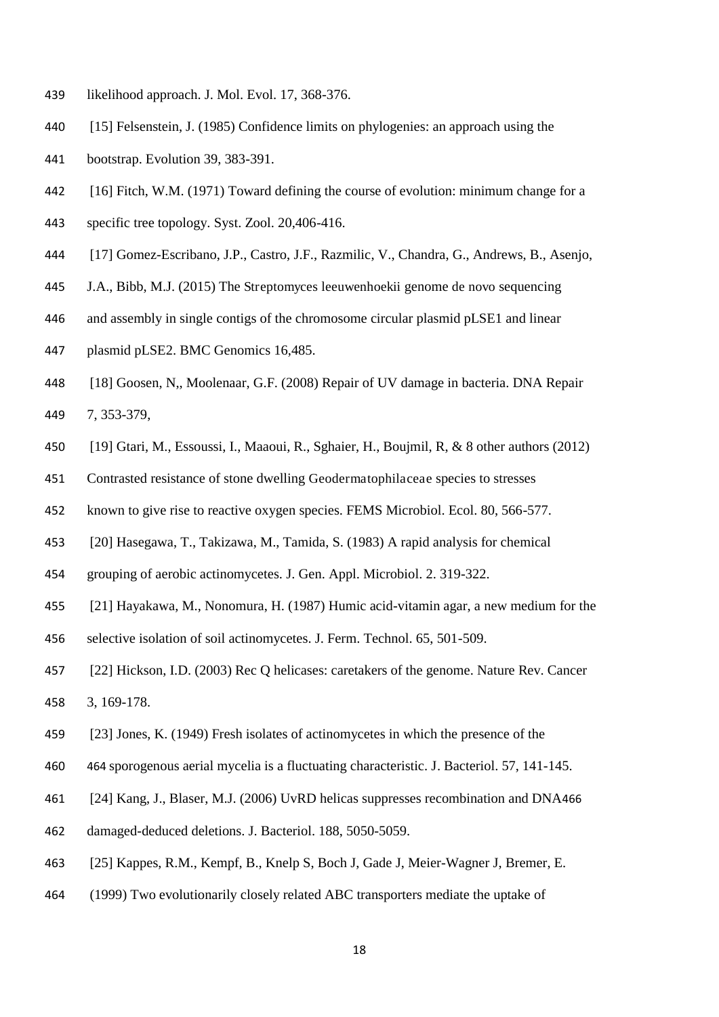- likelihood approach. J. Mol. Evol. 17, 368-376.
- [15] Felsenstein, J. (1985) Confidence limits on phylogenies: an approach using the
- bootstrap. Evolution 39, 383-391.
- [16] Fitch, W.M. (1971) Toward defining the course of evolution: minimum change for a
- specific tree topology. Syst. Zool. 20,406-416.
- [17] Gomez-Escribano, J.P., Castro, J.F., Razmilic, V., Chandra, G., Andrews, B., Asenjo,
- J.A., Bibb, M.J. (2015) The Streptomyces leeuwenhoekii genome de novo sequencing
- and assembly in single contigs of the chromosome circular plasmid pLSE1 and linear
- plasmid pLSE2. BMC Genomics 16,485.
- [18] Goosen, N,, Moolenaar, G.F. (2008) Repair of UV damage in bacteria. DNA Repair 7, 353-379,
- [19] Gtari, M., Essoussi, I., Maaoui, R., Sghaier, H., Boujmil, R, & 8 other authors (2012)
- Contrasted resistance of stone dwelling Geodermatophilaceae species to stresses
- known to give rise to reactive oxygen species. FEMS Microbiol. Ecol. 80, 566-577.
- [20] Hasegawa, T., Takizawa, M., Tamida, S. (1983) A rapid analysis for chemical
- grouping of aerobic actinomycetes. J. Gen. Appl. Microbiol. 2. 319-322.
- [21] Hayakawa, M., Nonomura, H. (1987) Humic acid-vitamin agar, a new medium for the
- selective isolation of soil actinomycetes. J. Ferm. Technol. 65, 501-509.
- [22] Hickson, I.D. (2003) Rec Q helicases: caretakers of the genome. Nature Rev. Cancer 3, 169-178.
- 
- [23] Jones, K. (1949) Fresh isolates of actinomycetes in which the presence of the
- 464 sporogenous aerial mycelia is a fluctuating characteristic. J. Bacteriol. 57, 141-145.
- [24] Kang, J., Blaser, M.J. (2006) UvRD helicas suppresses recombination and DNA466
- damaged-deduced deletions. J. Bacteriol. 188, 5050-5059.
- [25] Kappes, R.M., Kempf, B., Knelp S, Boch J, Gade J, Meier-Wagner J, Bremer, E.
- (1999) Two evolutionarily closely related ABC transporters mediate the uptake of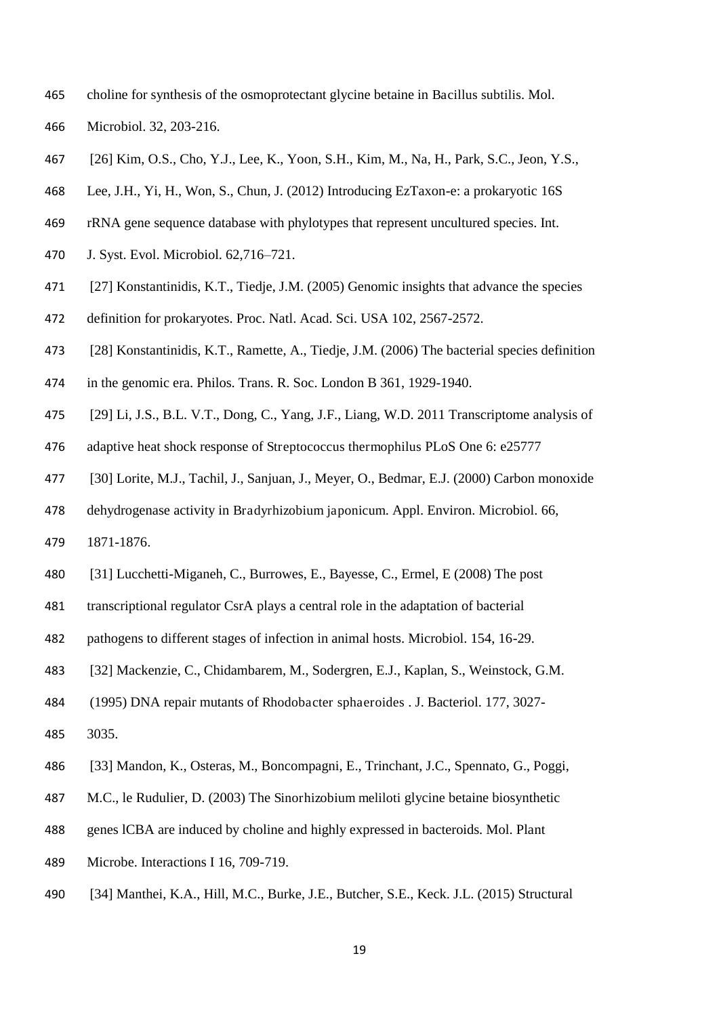- choline for synthesis of the osmoprotectant glycine betaine in Bacillus subtilis. Mol.
- Microbiol. 32, 203-216.
- [26] Kim, O.S., Cho, Y.J., Lee, K., Yoon, S.H., Kim, M., Na, H., Park, S.C., Jeon, Y.S.,
- Lee, J.H., Yi, H., Won, S., Chun, J. (2012) Introducing EzTaxon-e: a prokaryotic 16S
- rRNA gene sequence database with phylotypes that represent uncultured species. Int.
- J. Syst. Evol. Microbiol. 62,716–721.
- [27] Konstantinidis, K.T., Tiedje, J.M. (2005) Genomic insights that advance the species
- definition for prokaryotes. Proc. Natl. Acad. Sci. USA 102, 2567-2572.
- [28] Konstantinidis, K.T., Ramette, A., Tiedje, J.M. (2006) The bacterial species definition
- in the genomic era. Philos. Trans. R. Soc. London B 361, 1929-1940.
- [29] Li, J.S., B.L. V.T., Dong, C., Yang, J.F., Liang, W.D. 2011 Transcriptome analysis of
- adaptive heat shock response of Streptococcus thermophilus PLoS One 6: e25777
- [30] Lorite, M.J., Tachil, J., Sanjuan, J., Meyer, O., Bedmar, E.J. (2000) Carbon monoxide
- dehydrogenase activity in Bradyrhizobium japonicum. Appl. Environ. Microbiol. 66,
- 1871-1876.
- [31] Lucchetti-Miganeh, C., Burrowes, E., Bayesse, C., Ermel, E (2008) The post
- transcriptional regulator CsrA plays a central role in the adaptation of bacterial
- pathogens to different stages of infection in animal hosts. Microbiol. 154, 16-29.
- [32] Mackenzie, C., Chidambarem, M., Sodergren, E.J., Kaplan, S., Weinstock, G.M.
- (1995) DNA repair mutants of Rhodobacter sphaeroides . J. Bacteriol. 177, 3027-
- 3035.
- [33] Mandon, K., Osteras, M., Boncompagni, E., Trinchant, J.C., Spennato, G., Poggi,
- M.C., le Rudulier, D. (2003) The Sinorhizobium meliloti glycine betaine biosynthetic
- genes lCBA are induced by choline and highly expressed in bacteroids. Mol. Plant
- Microbe. Interactions I 16, 709-719.
- [34] Manthei, K.A., Hill, M.C., Burke, J.E., Butcher, S.E., Keck. J.L. (2015) Structural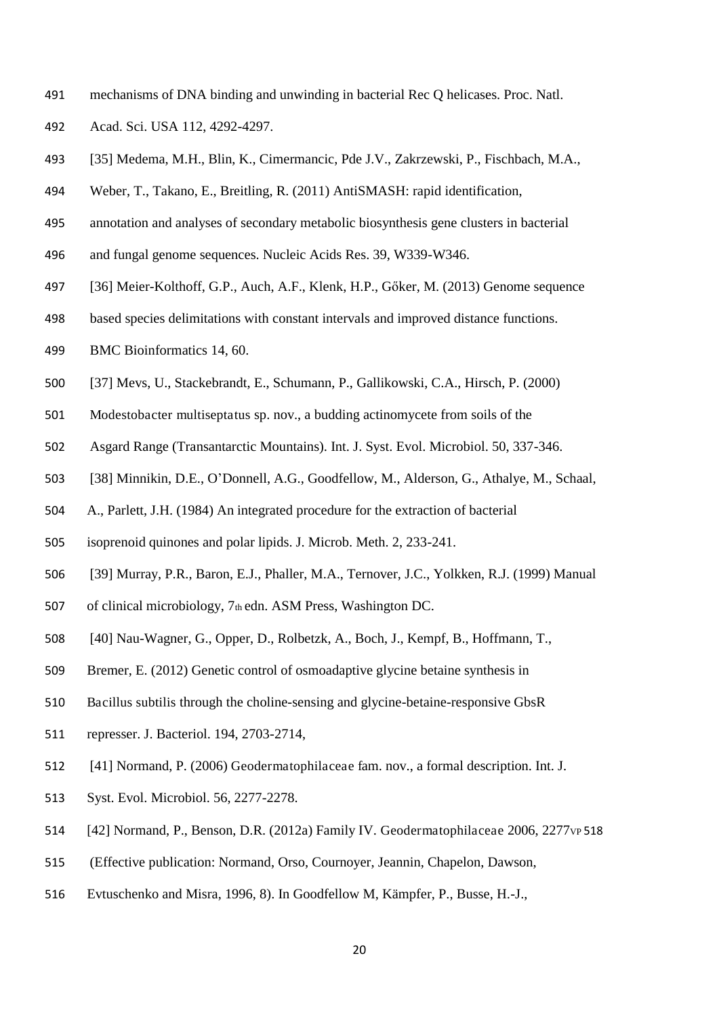- mechanisms of DNA binding and unwinding in bacterial Rec Q helicases. Proc. Natl.
- Acad. Sci. USA 112, 4292-4297.
- [35] Medema, M.H., Blin, K., Cimermancic, Pde J.V., Zakrzewski, P., Fischbach, M.A.,
- Weber, T., Takano, E., Breitling, R. (2011) AntiSMASH: rapid identification,
- annotation and analyses of secondary metabolic biosynthesis gene clusters in bacterial
- and fungal genome sequences. Nucleic Acids Res. 39, W339-W346.
- [36] Meier-Kolthoff, G.P., Auch, A.F., Klenk, H.P., Gőker, M. (2013) Genome sequence
- based species delimitations with constant intervals and improved distance functions.
- BMC Bioinformatics 14, 60.
- [37] Mevs, U., Stackebrandt, E., Schumann, P., Gallikowski, C.A., Hirsch, P. (2000)
- Modestobacter multiseptatus sp. nov., a budding actinomycete from soils of the
- Asgard Range (Transantarctic Mountains). Int. J. Syst. Evol. Microbiol. 50, 337-346.
- [38] Minnikin, D.E., O'Donnell, A.G., Goodfellow, M., Alderson, G., Athalye, M., Schaal,
- A., Parlett, J.H. (1984) An integrated procedure for the extraction of bacterial
- isoprenoid quinones and polar lipids. J. Microb. Meth. 2, 233-241.
- [39] Murray, P.R., Baron, E.J., Phaller, M.A., Ternover, J.C., Yolkken, R.J. (1999) Manual
- of clinical microbiology, 7th edn. ASM Press, Washington DC.
- [40] Nau-Wagner, G., Opper, D., Rolbetzk, A., Boch, J., Kempf, B., Hoffmann, T.,
- Bremer, E. (2012) Genetic control of osmoadaptive glycine betaine synthesis in
- Bacillus subtilis through the choline-sensing and glycine-betaine-responsive GbsR
- represser. J. Bacteriol. 194, 2703-2714,
- [41] Normand, P. (2006) Geodermatophilaceae fam. nov., a formal description. Int. J.
- Syst. Evol. Microbiol. 56, 2277-2278.
- 514 [42] Normand, P., Benson, D.R. (2012a) Family IV. Geodermatophilaceae 2006, 2277 vp 518
- (Effective publication: Normand, Orso, Cournoyer, Jeannin, Chapelon, Dawson,
- Evtuschenko and Misra, 1996, 8). In Goodfellow M, Kämpfer, P., Busse, H.-J.,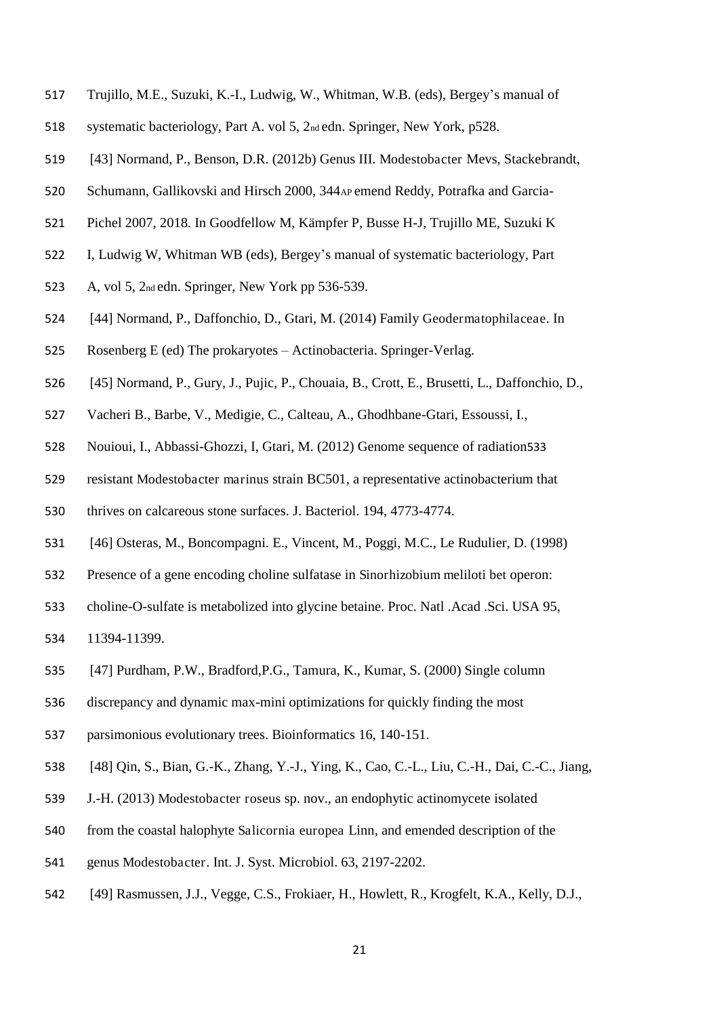- Trujillo, M.E., Suzuki, K.-I., Ludwig, W., Whitman, W.B. (eds), Bergey's manual of
- systematic bacteriology, Part A. vol 5, 2nd edn. Springer, New York, p528.
- [43] Normand, P., Benson, D.R. (2012b) Genus III. Modestobacter Mevs, Stackebrandt,
- Schumann, Gallikovski and Hirsch 2000, 344AP emend Reddy, Potrafka and Garcia-
- Pichel 2007, 2018. In Goodfellow M, Kämpfer P, Busse H-J, Trujillo ME, Suzuki K
- I, Ludwig W, Whitman WB (eds), Bergey's manual of systematic bacteriology, Part
- A, vol 5, 2nd edn. Springer, New York pp 536-539.
- [44] Normand, P., Daffonchio, D., Gtari, M. (2014) Family Geodermatophilaceae. In
- Rosenberg E (ed) The prokaryotes Actinobacteria. Springer-Verlag.
- [45] Normand, P., Gury, J., Pujic, P., Chouaia, B., Crott, E., Brusetti, L., Daffonchio, D.,
- Vacheri B., Barbe, V., Medigie, C., Calteau, A., Ghodhbane-Gtari, Essoussi, I.,
- Nouioui, I., Abbassi-Ghozzi, I, Gtari, M. (2012) Genome sequence of radiation533
- resistant Modestobacter marinus strain BC501, a representative actinobacterium that
- thrives on calcareous stone surfaces. J. Bacteriol. 194, 4773-4774.
- [46] Osteras, M., Boncompagni. E., Vincent, M., Poggi, M.C., Le Rudulier, D. (1998)
- Presence of a gene encoding choline sulfatase in Sinorhizobium meliloti bet operon:
- choline-O-sulfate is metabolized into glycine betaine. Proc. Natl .Acad .Sci. USA 95,
- 11394-11399.
- [47] Purdham, P.W., Bradford,P.G., Tamura, K., Kumar, S. (2000) Single column
- discrepancy and dynamic max-mini optimizations for quickly finding the most
- parsimonious evolutionary trees. Bioinformatics 16, 140-151.
- [48] Qin, S., Bian, G.-K., Zhang, Y.-J., Ying, K., Cao, C.-L., Liu, C.-H., Dai, C.-C., Jiang,
- J.-H. (2013) Modestobacter roseus sp. nov., an endophytic actinomycete isolated
- from the coastal halophyte Salicornia europea Linn, and emended description of the
- genus Modestobacter. Int. J. Syst. Microbiol. 63, 2197-2202.
- [49] Rasmussen, J.J., Vegge, C.S., Frokiaer, H., Howlett, R., Krogfelt, K.A., Kelly, D.J.,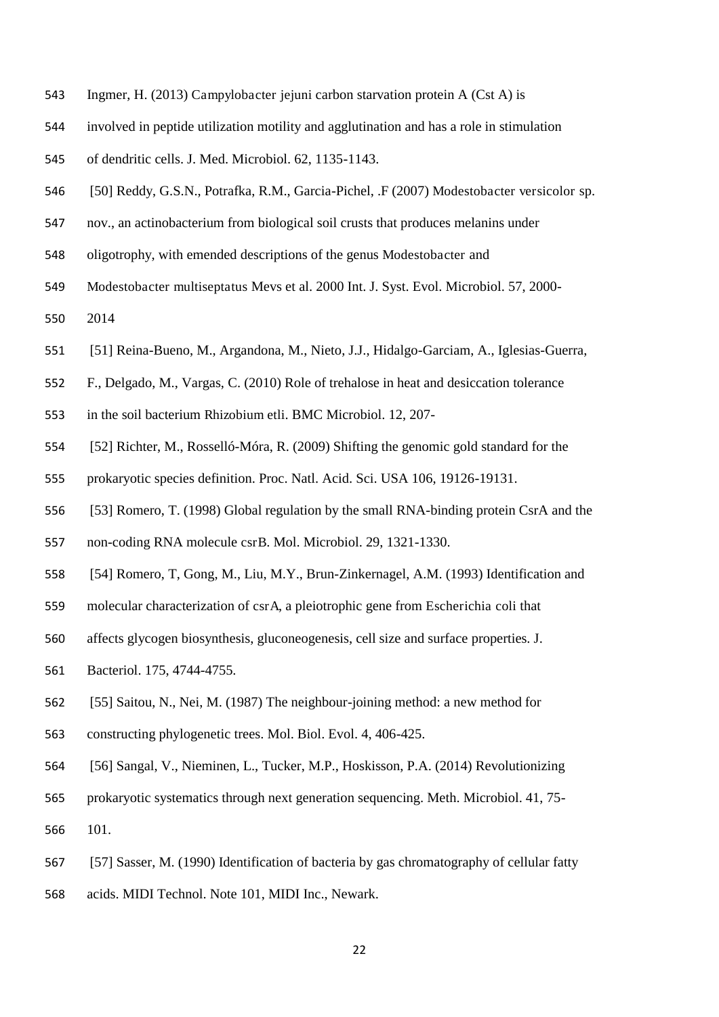- Ingmer, H. (2013) Campylobacter jejuni carbon starvation protein A (Cst A) is
- involved in peptide utilization motility and agglutination and has a role in stimulation
- of dendritic cells. J. Med. Microbiol. 62, 1135-1143.
- [50] Reddy, G.S.N., Potrafka, R.M., Garcia-Pichel, .F (2007) Modestobacter versicolor sp.
- nov., an actinobacterium from biological soil crusts that produces melanins under
- oligotrophy, with emended descriptions of the genus Modestobacter and
- Modestobacter multiseptatus Mevs et al. 2000 Int. J. Syst. Evol. Microbiol. 57, 2000-
- 2014
- [51] Reina-Bueno, M., Argandona, M., Nieto, J.J., Hidalgo-Garciam, A., Iglesias-Guerra,
- F., Delgado, M., Vargas, C. (2010) Role of trehalose in heat and desiccation tolerance
- in the soil bacterium Rhizobium etli. BMC Microbiol. 12, 207-
- [52] Richter, M., Rosselló-Móra, R. (2009) Shifting the genomic gold standard for the
- prokaryotic species definition. Proc. Natl. Acid. Sci. USA 106, 19126-19131.
- [53] Romero, T. (1998) Global regulation by the small RNA-binding protein CsrA and the
- non-coding RNA molecule csrB. Mol. Microbiol. 29, 1321-1330.
- [54] Romero, T, Gong, M., Liu, M.Y., Brun-Zinkernagel, A.M. (1993) Identification and
- molecular characterization of csrA, a pleiotrophic gene from Escherichia coli that
- affects glycogen biosynthesis, gluconeogenesis, cell size and surface properties. J.
- Bacteriol. 175, 4744-4755.
- [55] Saitou, N., Nei, M. (1987) The neighbour-joining method: a new method for
- constructing phylogenetic trees. Mol. Biol. Evol. 4, 406-425.
- [56] Sangal, V., Nieminen, L., Tucker, M.P., Hoskisson, P.A. (2014) Revolutionizing
- prokaryotic systematics through next generation sequencing. Meth. Microbiol. 41, 75-
- 101.
- [57] Sasser, M. (1990) Identification of bacteria by gas chromatography of cellular fatty
- acids. MIDI Technol. Note 101, MIDI Inc., Newark.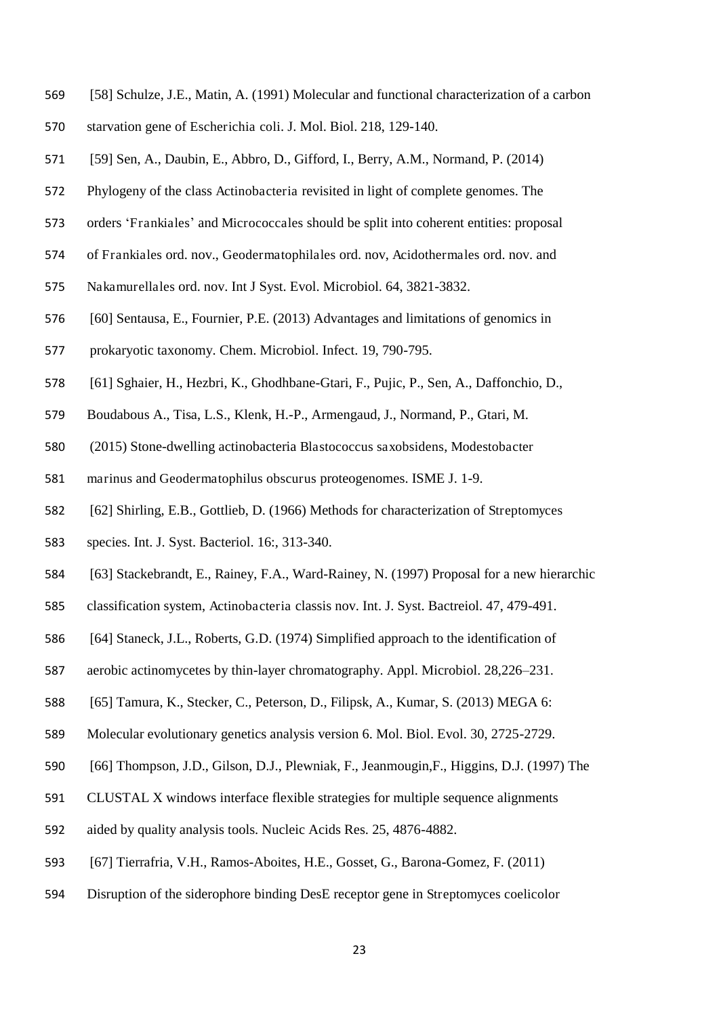- [58] Schulze, J.E., Matin, A. (1991) Molecular and functional characterization of a carbon
- starvation gene of Escherichia coli. J. Mol. Biol. 218, 129-140.
- [59] Sen, A., Daubin, E., Abbro, D., Gifford, I., Berry, A.M., Normand, P. (2014)
- Phylogeny of the class Actinobacteria revisited in light of complete genomes. The
- orders 'Frankiales' and Micrococcales should be split into coherent entities: proposal
- of Frankiales ord. nov., Geodermatophilales ord. nov, Acidothermales ord. nov. and
- Nakamurellales ord. nov. Int J Syst. Evol. Microbiol. 64, 3821-3832.
- [60] Sentausa, E., Fournier, P.E. (2013) Advantages and limitations of genomics in
- prokaryotic taxonomy. Chem. Microbiol. Infect. 19, 790-795.
- [61] Sghaier, H., Hezbri, K., Ghodhbane-Gtari, F., Pujic, P., Sen, A., Daffonchio, D.,
- Boudabous A., Tisa, L.S., Klenk, H.-P., Armengaud, J., Normand, P., Gtari, M.
- (2015) Stone-dwelling actinobacteria Blastococcus saxobsidens, Modestobacter
- marinus and Geodermatophilus obscurus proteogenomes. ISME J. 1-9.
- [62] Shirling, E.B., Gottlieb, D. (1966) Methods for characterization of Streptomyces
- species. Int. J. Syst. Bacteriol. 16:, 313-340.
- [63] Stackebrandt, E., Rainey, F.A., Ward-Rainey, N. (1997) Proposal for a new hierarchic
- classification system, Actinobacteria classis nov. Int. J. Syst. Bactreiol. 47, 479-491.
- [64] Staneck, J.L., Roberts, G.D. (1974) Simplified approach to the identification of
- aerobic actinomycetes by thin-layer chromatography. Appl. Microbiol. 28,226–231.
- [65] Tamura, K., Stecker, C., Peterson, D., Filipsk, A., Kumar, S. (2013) MEGA 6:
- Molecular evolutionary genetics analysis version 6. Mol. Biol. Evol. 30, 2725-2729.
- [66] Thompson, J.D., Gilson, D.J., Plewniak, F., Jeanmougin,F., Higgins, D.J. (1997) The
- CLUSTAL X windows interface flexible strategies for multiple sequence alignments
- aided by quality analysis tools. Nucleic Acids Res. 25, 4876-4882.
- [67] Tierrafria, V.H., Ramos-Aboites, H.E., Gosset, G., Barona-Gomez, F. (2011)
- Disruption of the siderophore binding DesE receptor gene in Streptomyces coelicolor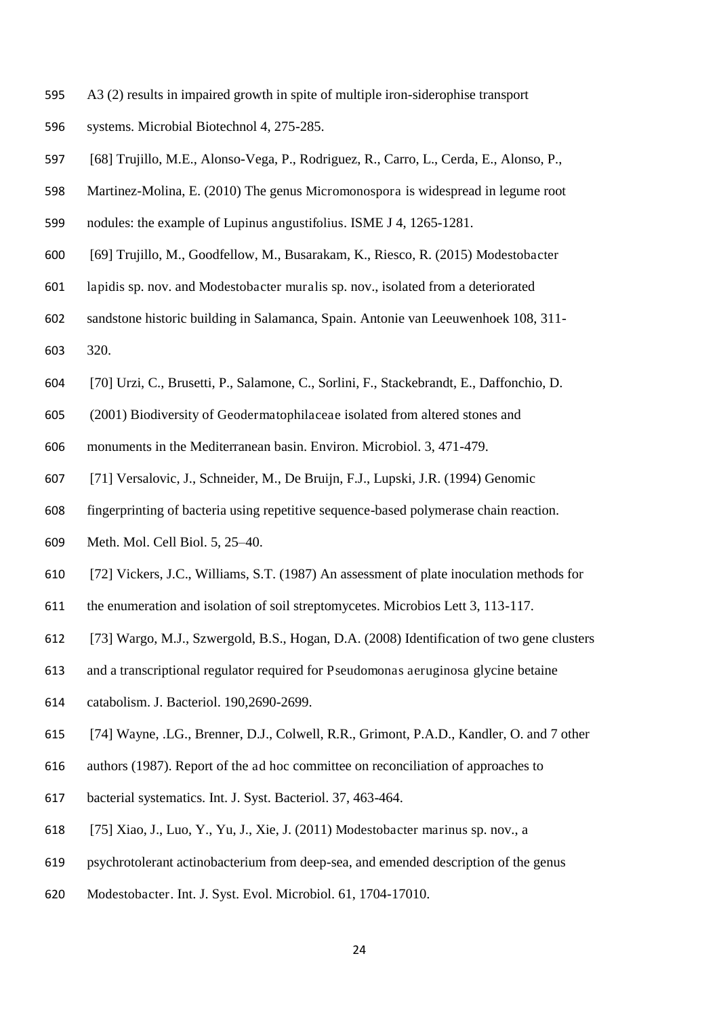- A3 (2) results in impaired growth in spite of multiple iron-siderophise transport
- systems. Microbial Biotechnol 4, 275-285.
- [68] Trujillo, M.E., Alonso-Vega, P., Rodriguez, R., Carro, L., Cerda, E., Alonso, P.,
- Martinez-Molina, E. (2010) The genus Micromonospora is widespread in legume root
- nodules: the example of Lupinus angustifolius. ISME J 4, 1265-1281.
- [69] Trujillo, M., Goodfellow, M., Busarakam, K., Riesco, R. (2015) Modestobacter
- lapidis sp. nov. and Modestobacter muralis sp. nov., isolated from a deteriorated
- sandstone historic building in Salamanca, Spain. Antonie van Leeuwenhoek 108, 311-
- 320.
- [70] Urzi, C., Brusetti, P., Salamone, C., Sorlini, F., Stackebrandt, E., Daffonchio, D.
- (2001) Biodiversity of Geodermatophilaceae isolated from altered stones and
- monuments in the Mediterranean basin. Environ. Microbiol. 3, 471-479.
- [71] Versalovic, J., Schneider, M., De Bruijn, F.J., Lupski, J.R. (1994) Genomic
- fingerprinting of bacteria using repetitive sequence-based polymerase chain reaction.
- Meth. Mol. Cell Biol. 5, 25–40.
- [72] Vickers, J.C., Williams, S.T. (1987) An assessment of plate inoculation methods for
- the enumeration and isolation of soil streptomycetes. Microbios Lett 3, 113-117.
- [73] Wargo, M.J., Szwergold, B.S., Hogan, D.A. (2008) Identification of two gene clusters
- and a transcriptional regulator required for Pseudomonas aeruginosa glycine betaine
- catabolism. J. Bacteriol. 190,2690-2699.
- [74] Wayne, .LG., Brenner, D.J., Colwell, R.R., Grimont, P.A.D., Kandler, O. and 7 other
- authors (1987). Report of the ad hoc committee on reconciliation of approaches to
- bacterial systematics. Int. J. Syst. Bacteriol. 37, 463-464.
- [75] Xiao, J., Luo, Y., Yu, J., Xie, J. (2011) Modestobacter marinus sp. nov., a
- psychrotolerant actinobacterium from deep-sea, and emended description of the genus
- Modestobacter. Int. J. Syst. Evol. Microbiol. 61, 1704-17010.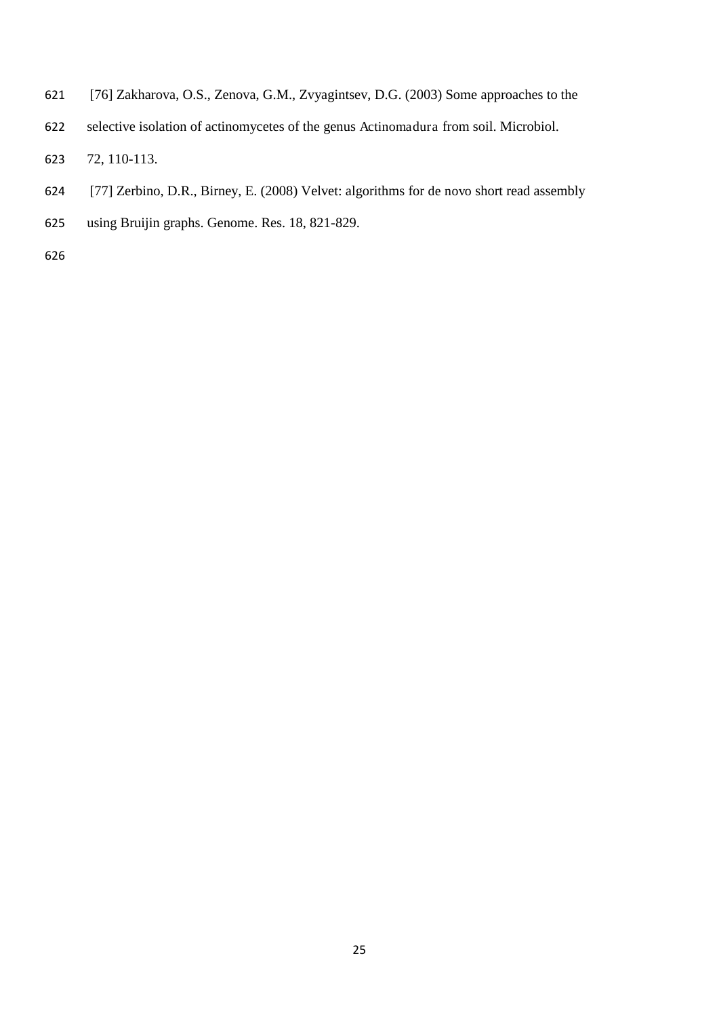- [76] Zakharova, O.S., Zenova, G.M., Zvyagintsev, D.G. (2003) Some approaches to the
- selective isolation of actinomycetes of the genus Actinomadura from soil. Microbiol.
- 72, 110-113.
- [77] Zerbino, D.R., Birney, E. (2008) Velvet: algorithms for de novo short read assembly
- using Bruijin graphs. Genome. Res. 18, 821-829.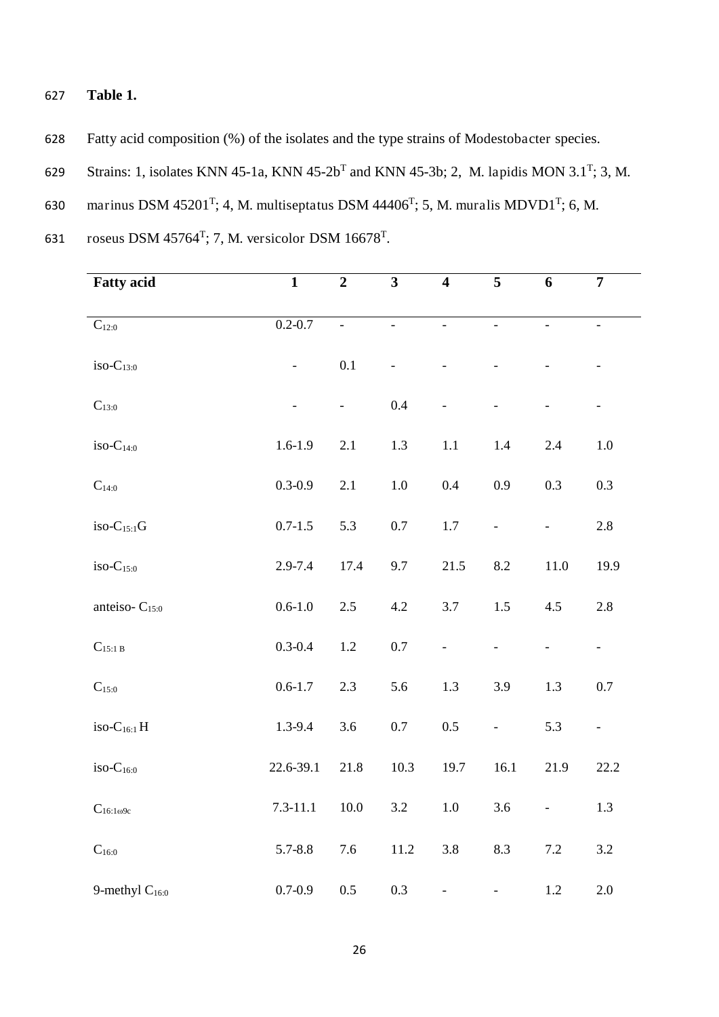- 627 **Table 1.**
- 628 Fatty acid composition (%) of the isolates and the type strains of Modestobacter species.
- 629 Strains: 1, isolates KNN 45-1a, KNN 45-2b<sup>T</sup> and KNN 45-3b; 2, M. lapidis MON 3.1<sup>T</sup>; 3, M.
- 630 marinus DSM 45201<sup>T</sup>; 4, M. multiseptatus DSM 44406<sup>T</sup>; 5, M. muralis MDVD1<sup>T</sup>; 6, M.

631 roseus DSM  $45764^T$ ; 7, M. versicolor DSM  $16678^T$ .

| <b>Fatty</b> acid         | $\mathbf{1}$             | $\boldsymbol{2}$ | $\overline{\mathbf{3}}$  | $\overline{\mathbf{4}}$  | 5                        | 6              | $\overline{7}$           |
|---------------------------|--------------------------|------------------|--------------------------|--------------------------|--------------------------|----------------|--------------------------|
|                           |                          |                  |                          |                          |                          |                |                          |
| $\mathbf{C}_{12:0}$       | $0.2 - 0.7$              | $\equiv$         | $\Box$                   | $\overline{\phantom{a}}$ | $\mathbb{L}$             | $\Box$         | $\overline{\phantom{a}}$ |
|                           |                          |                  |                          |                          |                          |                |                          |
| $iso-C_{13:0}$            | $\overline{\phantom{0}}$ | 0.1              | $\overline{\phantom{a}}$ |                          | $\overline{\phantom{a}}$ |                | $\overline{\phantom{a}}$ |
| $C_{13:0}$                |                          | $\frac{1}{2}$    | 0.4                      |                          | $\overline{a}$           |                |                          |
|                           |                          |                  |                          |                          |                          |                | $\blacksquare$           |
| $iso-C14:0$               | $1.6 - 1.9$              | 2.1              | 1.3                      | $1.1\,$                  | 1.4                      | $2.4\,$        | $1.0\,$                  |
|                           |                          |                  |                          |                          |                          |                |                          |
| $\mathbf{C}_{14:0}$       | $0.3 - 0.9$              | 2.1              | $1.0\,$                  | 0.4                      | 0.9                      | 0.3            | 0.3                      |
|                           |                          |                  |                          |                          |                          |                |                          |
| $iso-C15:1G$              | $0.7 - 1.5$              | 5.3              | $0.7\,$                  | $1.7\,$                  | $\overline{\phantom{0}}$ | $\Box$         | 2.8                      |
| $iso-C_{15:0}$            | 2.9-7.4                  | 17.4             | 9.7                      | 21.5                     | 8.2                      | 11.0           | 19.9                     |
|                           |                          |                  |                          |                          |                          |                |                          |
| anteiso-C <sub>15:0</sub> | $0.6 - 1.0$              | 2.5              | 4.2                      | $3.7\,$                  | 1.5                      | 4.5            | 2.8                      |
|                           |                          |                  |                          |                          |                          |                |                          |
| $C_{15:1 B}$              | $0.3 - 0.4$              | $1.2\,$          | $0.7\,$                  | $\blacksquare$           | $\blacksquare$           | $\blacksquare$ | $\pm$                    |
| $\mathrm{C}_{15:0}$       | $0.6 - 1.7$              | 2.3              | 5.6                      | 1.3                      | 3.9                      | 1.3            | $0.7\,$                  |
|                           |                          |                  |                          |                          |                          |                |                          |
| iso- $C_{16:1}$ H         | 1.3-9.4                  | 3.6              | $0.7\,$                  | $0.5\,$                  | $\overline{\phantom{0}}$ | 5.3            | $\omega$                 |
|                           |                          |                  |                          |                          |                          |                |                          |
| $iso-C16:0$               | 22.6-39.1                | 21.8             | 10.3                     | 19.7                     | 16.1                     | 21.9           | 22.2                     |
|                           |                          |                  |                          |                          |                          |                |                          |
| $C_{16:1\omega9c}$        | $7.3 - 11.1$             | $10.0\,$         | $3.2\,$                  | $1.0\,$                  | 3.6                      | $\blacksquare$ | 1.3                      |
| $C_{16:0}$                | $5.7 - 8.8$              | 7.6              | 11.2                     | 3.8                      | 8.3                      | $7.2\,$        | 3.2                      |
|                           |                          |                  |                          |                          |                          |                |                          |
| 9-methyl $C_{16:0}$       | $0.7 - 0.9$              | $0.5\,$          | 0.3                      | $\overline{a}$           |                          | $1.2\,$        | $2.0\,$                  |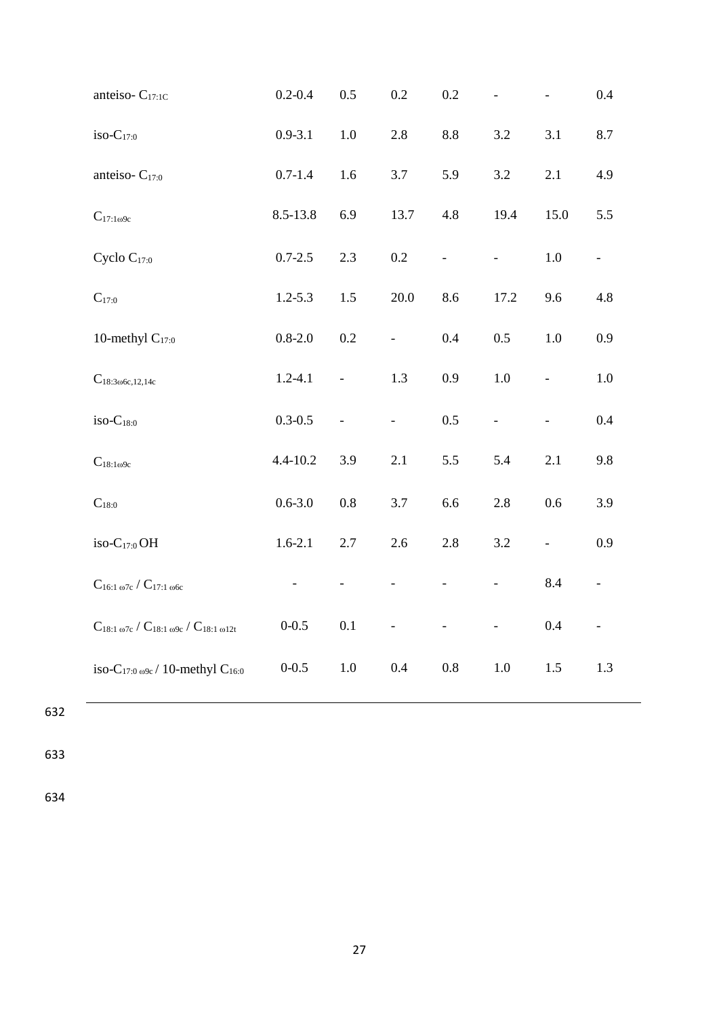| anteiso-C <sub>17:1C</sub>                                               | $0.2 - 0.4$              | 0.5                      | $0.2\,$                  | 0.2                      |                          |                          | 0.4              |
|--------------------------------------------------------------------------|--------------------------|--------------------------|--------------------------|--------------------------|--------------------------|--------------------------|------------------|
| $iso-C17:0$                                                              | $0.9 - 3.1$              | $1.0\,$                  | $2.8\,$                  | 8.8                      | 3.2                      | 3.1                      | 8.7              |
| anteiso- $C_{17:0}$                                                      | $0.7 - 1.4$              | 1.6                      | 3.7                      | 5.9                      | 3.2                      | 2.1                      | 4.9              |
| $C_{17:1\omega9c}$                                                       | 8.5-13.8                 | 6.9                      | 13.7                     | 4.8                      | 19.4                     | 15.0                     | 5.5              |
| Cyclo $C_{17:0}$                                                         | $0.7 - 2.5$              | 2.3                      | $0.2\,$                  | $\overline{\phantom{0}}$ | $\overline{\phantom{a}}$ | $1.0\,$                  | $\omega_{\rm c}$ |
| $C_{17:0}$                                                               | $1.2 - 5.3$              | $1.5\,$                  | 20.0                     | 8.6                      | 17.2                     | 9.6                      | 4.8              |
| 10-methyl $C_{17:0}$                                                     | $0.8 - 2.0$              | $0.2\,$                  | $\overline{\phantom{a}}$ | 0.4                      | 0.5                      | $1.0\,$                  | 0.9              |
| $C_{18:3\omega 6c,12,14c}$                                               | $1.2 - 4.1$              | $\blacksquare$           | 1.3                      | 0.9                      | $1.0\,$                  | $\blacksquare$           | $1.0\,$          |
| $iso-C_{18:0}$                                                           | $0.3 - 0.5$              | $\overline{\phantom{a}}$ | $\frac{1}{2}$            | 0.5                      | $\overline{\phantom{0}}$ | ÷,                       | 0.4              |
| $C_{18:1\omega9c}$                                                       | $4.4 - 10.2$             | 3.9                      | 2.1                      | 5.5                      | 5.4                      | 2.1                      | 9.8              |
| $C_{18:0}$                                                               | $0.6 - 3.0$              | $0.8\,$                  | 3.7                      | 6.6                      | 2.8                      | 0.6                      | 3.9              |
| iso- $C_{17:0}$ OH                                                       | $1.6 - 2.1$              | $2.7\,$                  | 2.6                      | 2.8                      | 3.2                      | $\overline{\phantom{0}}$ | 0.9              |
| $C_{16:1\omega7c}$ / $C_{17:1\omega6c}$                                  | $\overline{\phantom{0}}$ | $\blacksquare$           | $\overline{a}$           | $\overline{\phantom{0}}$ | $\frac{1}{2}$            | 8.4                      | $\blacksquare$   |
| $C_{18:1\omega7c}$ / $C_{18:1\omega9c}$ / $C_{18:1\omega12t}$            | $0 - 0.5$                | $0.1\,$                  |                          |                          |                          | $0.4\,$                  | $\blacksquare$   |
| iso-C <sub>17:0 <math>\omega</math>9c / 10-methyl C<sub>16:0</sub></sub> | $0 - 0.5$                | $1.0\,$                  | 0.4                      | 0.8                      | 1.0                      | 1.5                      | 1.3              |

633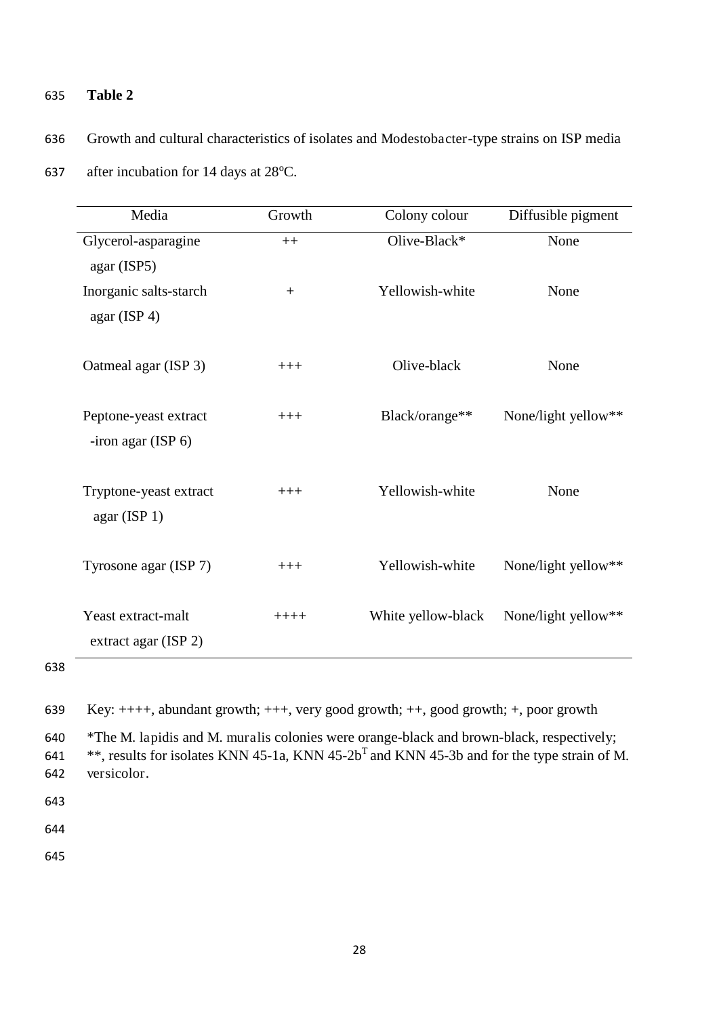## 635 **Table 2**

636 Growth and cultural characteristics of isolates and Modestobacter-type strains on ISP media

| Media                                             | Growth  | Colony colour      | Diffusible pigment  |
|---------------------------------------------------|---------|--------------------|---------------------|
| Glycerol-asparagine                               | $++$    | Olive-Black*       | None                |
| agar (ISP5)                                       |         |                    |                     |
| Inorganic salts-starch<br>agar $($ ISP 4 $)$      | $+$     | Yellowish-white    | None                |
| Oatmeal agar (ISP 3)                              | $+++$   | Olive-black        | None                |
| Peptone-yeast extract<br>-iron agar $($ ISP 6 $)$ | $+++$   | Black/orange**     | None/light yellow** |
| Tryptone-yeast extract<br>agar (ISP 1)            | $+++$   | Yellowish-white    | None                |
| Tyrosone agar (ISP 7)                             | $+++$   | Yellowish-white    | None/light yellow** |
| Yeast extract-malt<br>extract agar (ISP 2)        | $+++++$ | White yellow-black | None/light yellow** |

637 after incubation for 14 days at  $28^{\circ}$ C.

638

639 Key: ++++, abundant growth; +++, very good growth; ++, good growth; +, poor growth

640 \*The M. lapidis and M. muralis colonies were orange-black and brown-black, respectively;

\*\*, results for isolates KNN 45-1a, KNN  $45-2b^{T}$  and KNN 45-3b and for the type strain of M. 642 versicolor.

643

644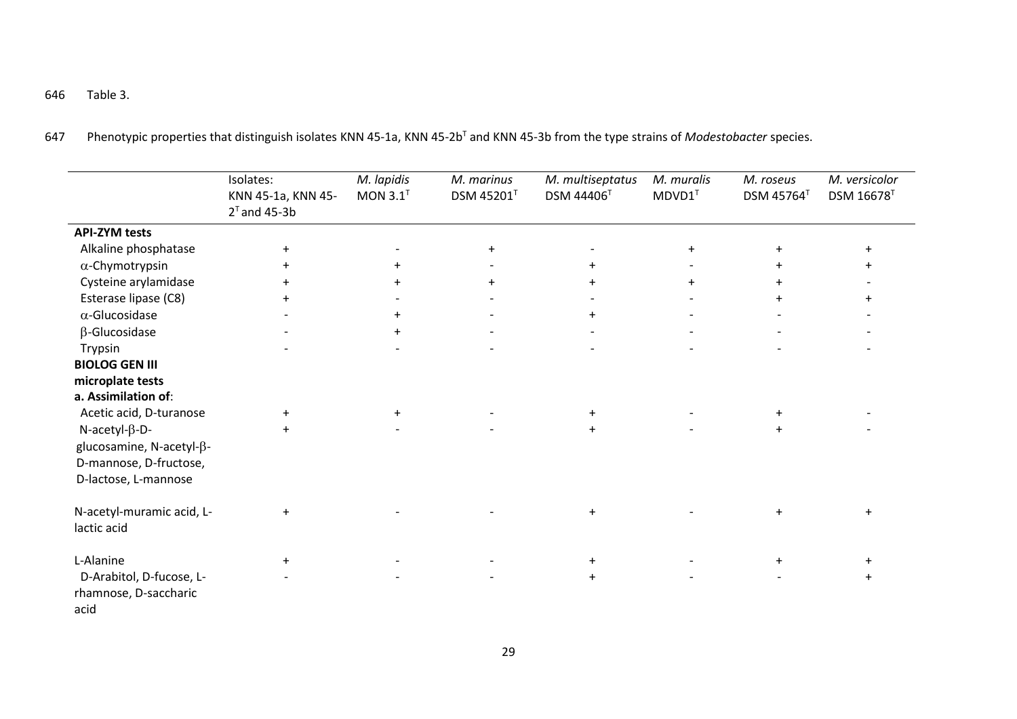646 Table 3.

647 Phenotypic properties that distinguish isolates KNN 45-1a, KNN 45-2b<sup>T</sup> and KNN 45-3b from the type strains of *Modestobacter* species.

|                           | Isolates:<br>KNN 45-1a, KNN 45-<br>$2^T$ and 45-3b | M. lapidis<br>MON $3.1^T$ | M. marinus<br>DSM 45201 <sup>T</sup> | M. multiseptatus<br><b>DSM 44406<sup>T</sup></b> | M. muralis<br>$MDVD1^T$ | M. roseus<br><b>DSM 45764</b> <sup>T</sup> | M. versicolor<br><b>DSM 16678</b> <sup>T</sup> |
|---------------------------|----------------------------------------------------|---------------------------|--------------------------------------|--------------------------------------------------|-------------------------|--------------------------------------------|------------------------------------------------|
| <b>API-ZYM tests</b>      |                                                    |                           |                                      |                                                  |                         |                                            |                                                |
| Alkaline phosphatase      | $\ddot{}$                                          |                           | $+$                                  |                                                  | $+$                     | $\ddot{}$                                  | $+$                                            |
| $\alpha$ -Chymotrypsin    | $\pm$                                              | $+$                       |                                      | $+$                                              |                         |                                            | $\pm$                                          |
| Cysteine arylamidase      | $+$                                                | $\ddot{}$                 | $\ddot{}$                            | $+$                                              | $+$                     | $\ddot{}$                                  |                                                |
| Esterase lipase (C8)      |                                                    |                           |                                      |                                                  |                         | $\ddot{}$                                  |                                                |
| $\alpha$ -Glucosidase     |                                                    | $+$                       |                                      | $\ddot{}$                                        |                         |                                            |                                                |
| $\beta$ -Glucosidase      |                                                    | $+$                       |                                      |                                                  |                         |                                            |                                                |
| Trypsin                   |                                                    |                           |                                      | $\overline{\phantom{0}}$                         |                         |                                            |                                                |
| <b>BIOLOG GEN III</b>     |                                                    |                           |                                      |                                                  |                         |                                            |                                                |
| microplate tests          |                                                    |                           |                                      |                                                  |                         |                                            |                                                |
| a. Assimilation of:       |                                                    |                           |                                      |                                                  |                         |                                            |                                                |
| Acetic acid, D-turanose   | $+$                                                | $+$                       |                                      | $\ddot{}$                                        |                         | $\ddot{}$                                  |                                                |
| $N$ -acetyl- $\beta$ -D-  | $+$                                                |                           |                                      | $+$                                              |                         | $\ddot{}$                                  |                                                |
| glucosamine, N-acetyl-β-  |                                                    |                           |                                      |                                                  |                         |                                            |                                                |
| D-mannose, D-fructose,    |                                                    |                           |                                      |                                                  |                         |                                            |                                                |
| D-lactose, L-mannose      |                                                    |                           |                                      |                                                  |                         |                                            |                                                |
|                           |                                                    |                           |                                      |                                                  |                         |                                            |                                                |
| N-acetyl-muramic acid, L- | $+$                                                |                           |                                      | $\ddot{}$                                        |                         | $\ddot{}$                                  | $\ddot{}$                                      |
| lactic acid               |                                                    |                           |                                      |                                                  |                         |                                            |                                                |
|                           |                                                    |                           |                                      |                                                  |                         |                                            |                                                |
| L-Alanine                 | $+$                                                |                           |                                      | $\ddot{}$                                        |                         | $\ddot{}$                                  | $\ddot{}$                                      |
| D-Arabitol, D-fucose, L-  |                                                    |                           |                                      | $\ddot{}$                                        |                         |                                            | $+$                                            |
| rhamnose, D-saccharic     |                                                    |                           |                                      |                                                  |                         |                                            |                                                |
| acid                      |                                                    |                           |                                      |                                                  |                         |                                            |                                                |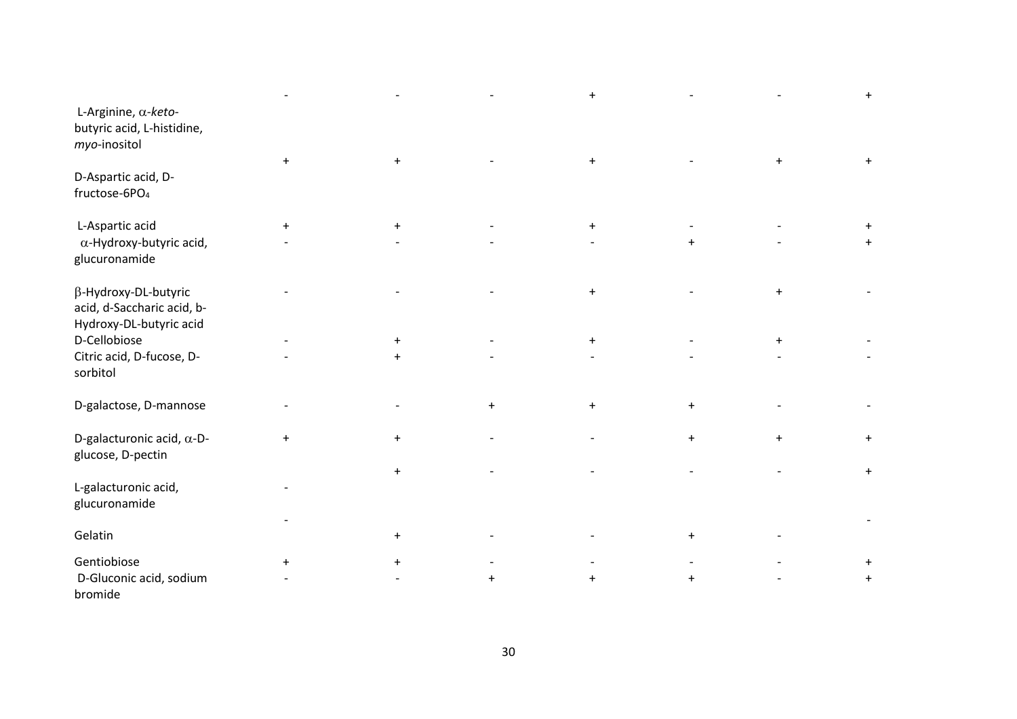|                                                                               |                                  |            |           | $\ddot{}$ |           |     |           |
|-------------------------------------------------------------------------------|----------------------------------|------------|-----------|-----------|-----------|-----|-----------|
| L-Arginine, α-keto-<br>butyric acid, L-histidine,<br>myo-inositol             |                                  |            |           |           |           |     |           |
| D-Aspartic acid, D-<br>fructose-6PO <sub>4</sub>                              | $\ddot{}$                        | $\ddot{}$  |           | $+$       |           | $+$ | $\ddot{}$ |
| L-Aspartic acid<br>$\alpha$ -Hydroxy-butyric acid,<br>glucuronamide           | $\ddot{}$                        | $+$        |           | $+$       |           |     |           |
| β-Hydroxy-DL-butyric<br>acid, d-Saccharic acid, b-<br>Hydroxy-DL-butyric acid |                                  |            |           | $\ddot{}$ |           | $+$ |           |
| D-Cellobiose<br>Citric acid, D-fucose, D-<br>sorbitol                         |                                  | $+$<br>$+$ |           | $+$       |           | $+$ |           |
| D-galactose, D-mannose                                                        |                                  |            | $\ddot{}$ | $\ddot{}$ | $+$       |     |           |
| D-galacturonic acid, $\alpha$ -D-<br>glucose, D-pectin                        | $\begin{array}{c} + \end{array}$ | $\ddot{}$  |           |           | $+$       | $+$ | $\ddot{}$ |
| L-galacturonic acid,<br>glucuronamide                                         |                                  | $+$        |           |           |           |     |           |
| Gelatin                                                                       |                                  | $\ddot{}$  |           |           | $\ddot{}$ |     |           |
| Gentiobiose<br>D-Gluconic acid, sodium<br>bromide                             | $\ddot{}$                        | $\ddot{}$  | $\ddot{}$ | $+$       | $\ddot{}$ |     | $\ddot{}$ |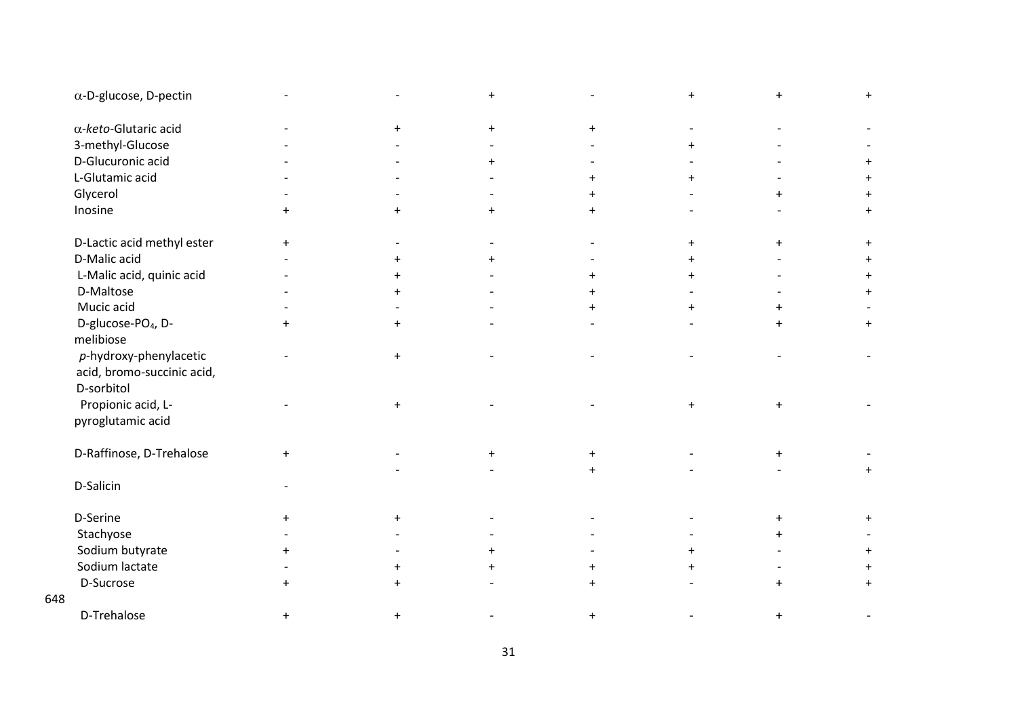| $\alpha$ -D-glucose, D-pectin                                         |           |           |           |           |           |           | $\ddot{}$ |
|-----------------------------------------------------------------------|-----------|-----------|-----------|-----------|-----------|-----------|-----------|
| $\alpha$ -keto-Glutaric acid                                          |           | $+$       | $\ddot{}$ | $+$       |           |           |           |
| 3-methyl-Glucose                                                      |           |           |           |           |           |           |           |
| D-Glucuronic acid                                                     |           |           | $\ddot{}$ |           |           |           |           |
| L-Glutamic acid                                                       |           |           |           | $+$       | $+$       |           |           |
| Glycerol                                                              |           |           |           | $+$       |           | $+$       |           |
| Inosine                                                               | $+$       | $+$       | $\ddot{}$ | $+$       |           |           | $\ddot{}$ |
| D-Lactic acid methyl ester                                            | $+$       |           |           |           | $+$       | $+$       | $+$       |
| D-Malic acid                                                          |           | $\ddot{}$ |           |           |           |           |           |
| L-Malic acid, quinic acid                                             |           | $\ddot{}$ |           | $+$       |           |           | $\ddot{}$ |
| D-Maltose                                                             |           | $+$       |           | $+$       |           |           | $+$       |
| Mucic acid                                                            |           |           |           | $+$       |           |           |           |
| D-glucose-PO <sub>4</sub> , D-<br>melibiose                           | $+$       | $\ddot{}$ |           |           |           | $\ddot{}$ | $+$       |
| $p$ -hydroxy-phenylacetic<br>acid, bromo-succinic acid,<br>D-sorbitol |           | $+$       |           |           |           |           |           |
| Propionic acid, L-<br>pyroglutamic acid                               |           | $\ddot{}$ |           |           | $\ddot{}$ | $+$       |           |
| D-Raffinose, D-Trehalose                                              | $+$       |           | $\ddot{}$ | $^{+}$    |           | $\ddot{}$ |           |
|                                                                       |           |           |           | $+$       |           |           | $\ddot{}$ |
| D-Salicin                                                             |           |           |           |           |           |           |           |
| D-Serine                                                              | $+$       | $\ddot{}$ |           |           |           | $\ddot{}$ |           |
| Stachyose                                                             |           |           |           |           |           | $+$       |           |
| Sodium butyrate                                                       |           |           |           |           |           |           |           |
| Sodium lactate                                                        |           | $\pm$     | $\ddot{}$ | $+$       | $\ddot{}$ |           |           |
| D-Sucrose                                                             | $\ddot{}$ | $\ddot{}$ |           | $\ddot{}$ |           | $+$       | $\ddot{}$ |
| 648                                                                   |           |           |           |           |           |           |           |
| D-Trehalose                                                           |           | $\ddot{}$ |           |           |           |           |           |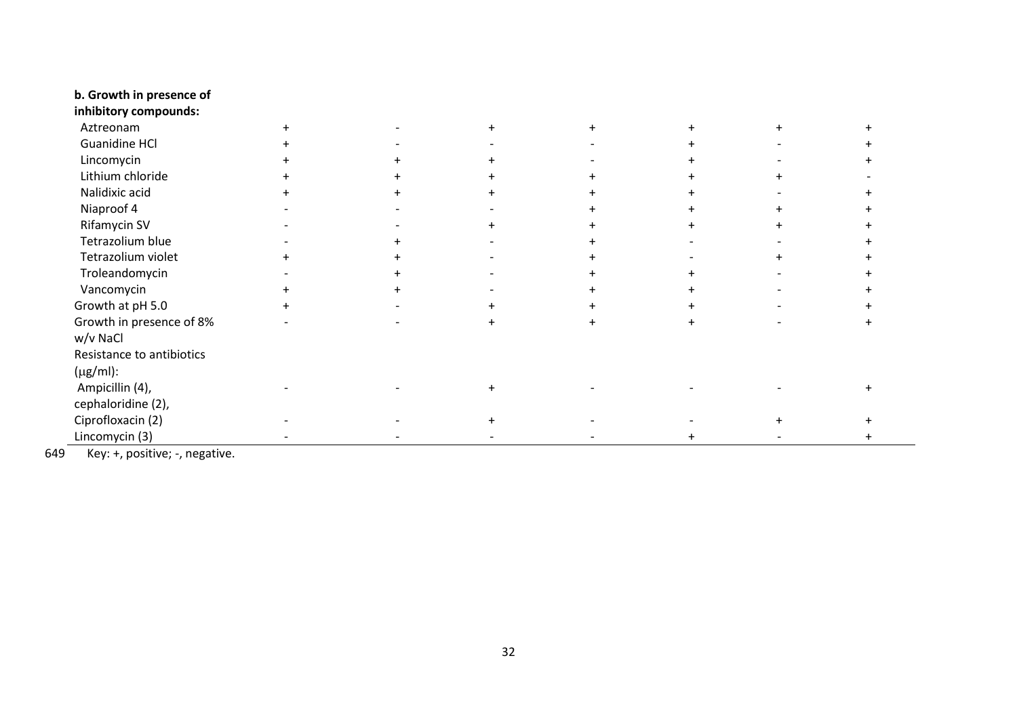#### **b. Growth in presence of**

| inhibitory compounds:            |  |  |  |  |
|----------------------------------|--|--|--|--|
| Aztreonam                        |  |  |  |  |
| <b>Guanidine HCl</b>             |  |  |  |  |
| Lincomycin                       |  |  |  |  |
| Lithium chloride                 |  |  |  |  |
| Nalidixic acid                   |  |  |  |  |
| Niaproof 4                       |  |  |  |  |
| Rifamycin SV                     |  |  |  |  |
| Tetrazolium blue                 |  |  |  |  |
| Tetrazolium violet               |  |  |  |  |
| Troleandomycin                   |  |  |  |  |
| Vancomycin                       |  |  |  |  |
| Growth at pH 5.0                 |  |  |  |  |
| Growth in presence of 8%         |  |  |  |  |
| w/v NaCl                         |  |  |  |  |
| Resistance to antibiotics        |  |  |  |  |
| $(\mu g/ml)$ :                   |  |  |  |  |
| Ampicillin (4),                  |  |  |  |  |
| cephaloridine (2),               |  |  |  |  |
| Ciprofloxacin (2)                |  |  |  |  |
| Lincomycin (3)                   |  |  |  |  |
| $\cdots$<br>$\cdot$ .<br>$\cdot$ |  |  |  |  |

649 Key: +, positive; -, negative.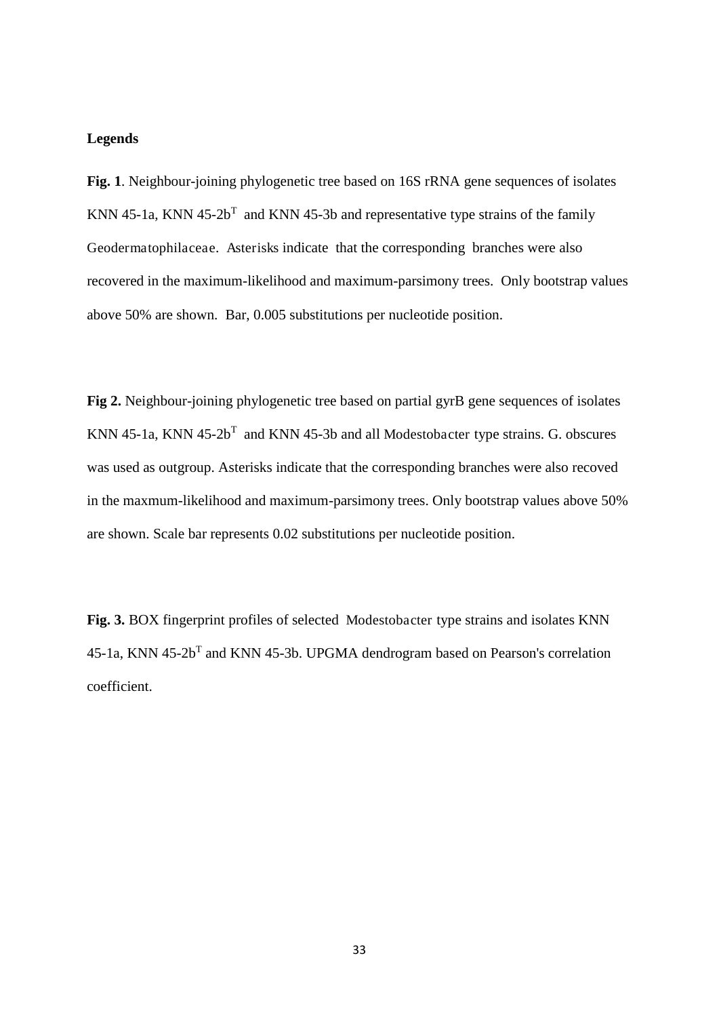## **Legends**

**Fig. 1**. Neighbour-joining phylogenetic tree based on 16S rRNA gene sequences of isolates KNN 45-1a, KNN 45-2 $b<sup>T</sup>$  and KNN 45-3b and representative type strains of the family Geodermatophilaceae. Asterisks indicate that the corresponding branches were also recovered in the maximum-likelihood and maximum-parsimony trees. Only bootstrap values above 50% are shown. Bar, 0.005 substitutions per nucleotide position.

**Fig 2.** Neighbour-joining phylogenetic tree based on partial gyrB gene sequences of isolates KNN 45-1a, KNN  $45-2b^{T}$  and KNN 45-3b and all Modestobacter type strains. G. obscures was used as outgroup. Asterisks indicate that the corresponding branches were also recoved in the maxmum-likelihood and maximum-parsimony trees. Only bootstrap values above 50% are shown. Scale bar represents 0.02 substitutions per nucleotide position.

**Fig. 3.** BOX fingerprint profiles of selected Modestobacter type strains and isolates KNN  $45$ -1a, KNN  $45$ -2b<sup>T</sup> and KNN  $45$ -3b. UPGMA dendrogram based on Pearson's correlation coefficient.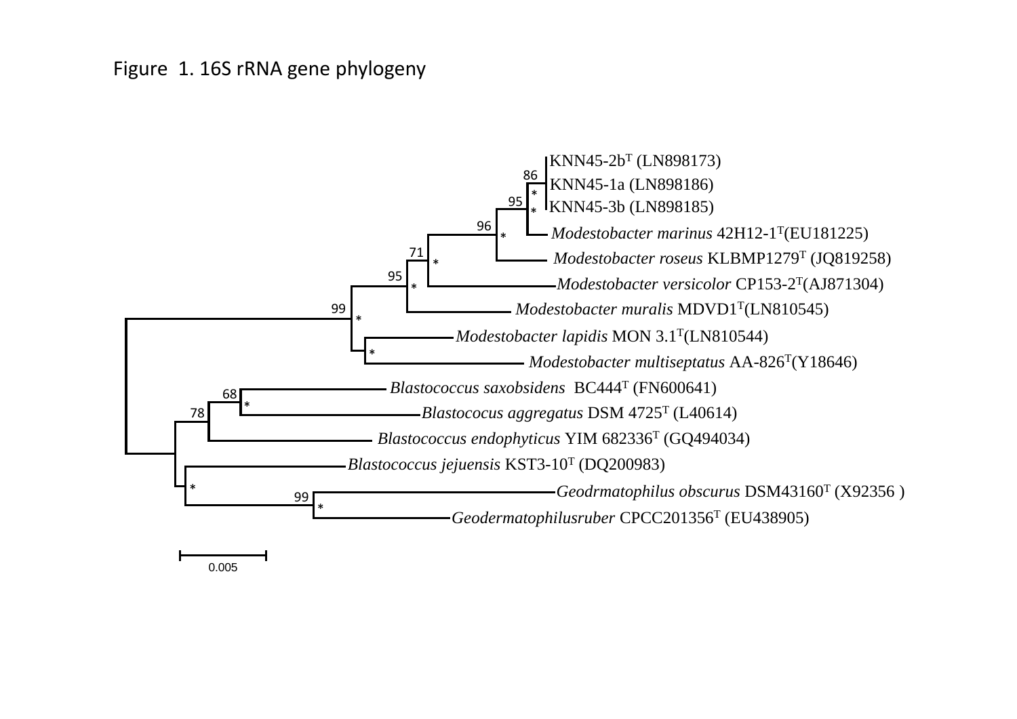# Figure 1. 16S rRNA gene phylogeny



0.005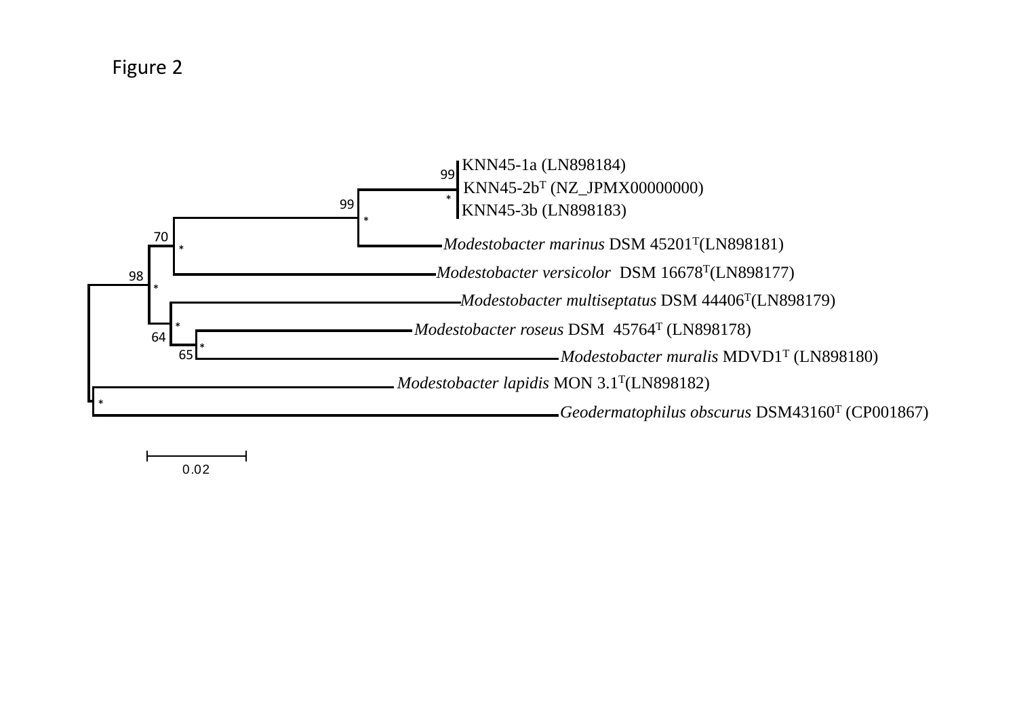Figure 2



0.02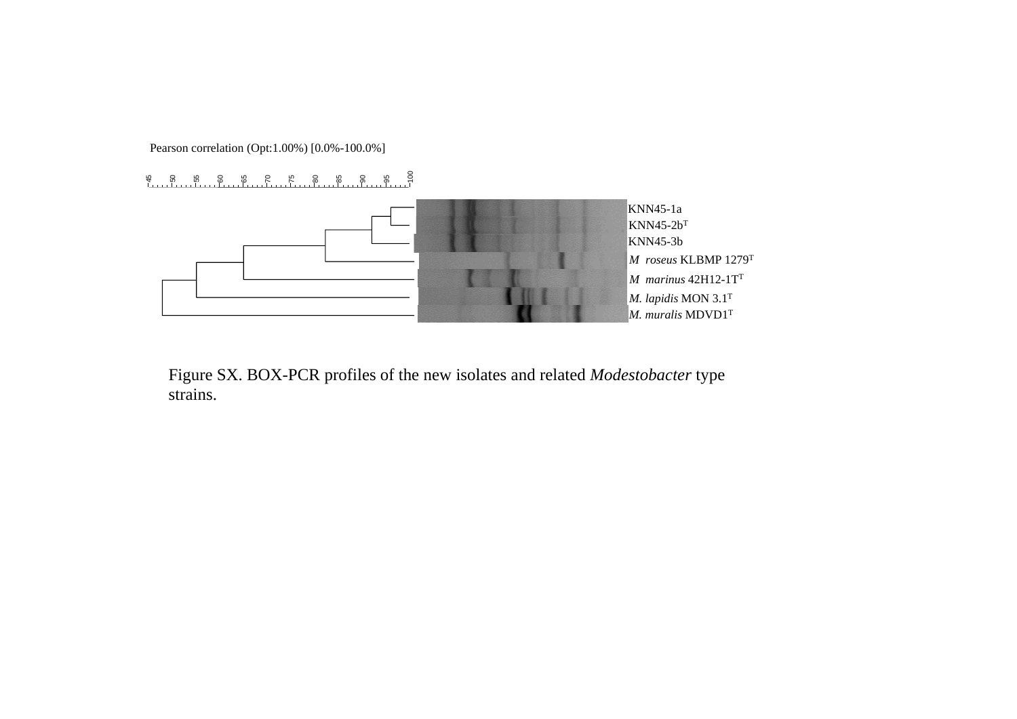Pearson correlation (Opt:1.00%) [0.0%-100.0%]



Figure SX. BOX-PCR profiles of the new isolates and related *Modestobacter* type strains.